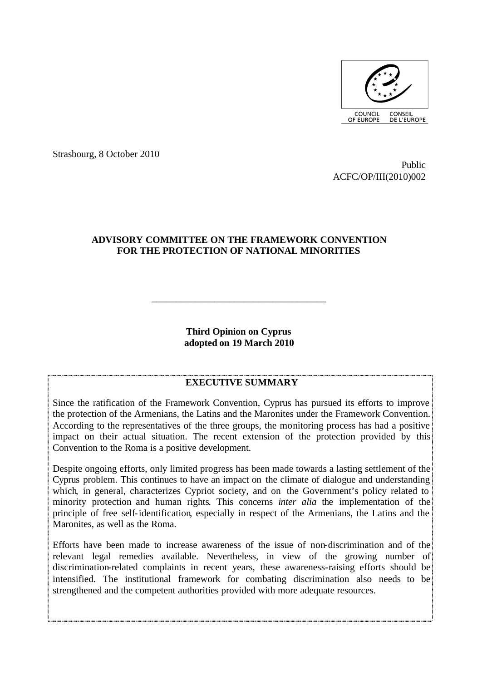

Strasbourg, 8 October 2010

Public ACFC/OP/III(2010)002

### **ADVISORY COMMITTEE ON THE FRAMEWORK CONVENTION FOR THE PROTECTION OF NATIONAL MINORITIES**

**Third Opinion on Cyprus adopted on 19 March 2010**

\_\_\_\_\_\_\_\_\_\_\_\_\_\_\_\_\_\_\_\_\_\_\_\_\_\_\_\_\_\_\_\_\_\_\_\_

#### **EXECUTIVE SUMMARY**

Since the ratification of the Framework Convention, Cyprus has pursued its efforts to improve the protection of the Armenians, the Latins and the Maronites under the Framework Convention. According to the representatives of the three groups, the monitoring process has had a positive impact on their actual situation. The recent extension of the protection provided by this Convention to the Roma is a positive development.

Despite ongoing efforts, only limited progress has been made towards a lasting settlement of the Cyprus problem. This continues to have an impact on the climate of dialogue and understanding which, in general, characterizes Cypriot society, and on the Government's policy related to minority protection and human rights. This concerns *inter alia* the implementation of the principle of free self-identification, especially in respect of the Armenians, the Latins and the Maronites, as well as the Roma.

Efforts have been made to increase awareness of the issue of non-discrimination and of the relevant legal remedies available. Nevertheless, in view of the growing number of discrimination-related complaints in recent years, these awareness-raising efforts should be intensified. The institutional framework for combating discrimination also needs to be strengthened and the competent authorities provided with more adequate resources.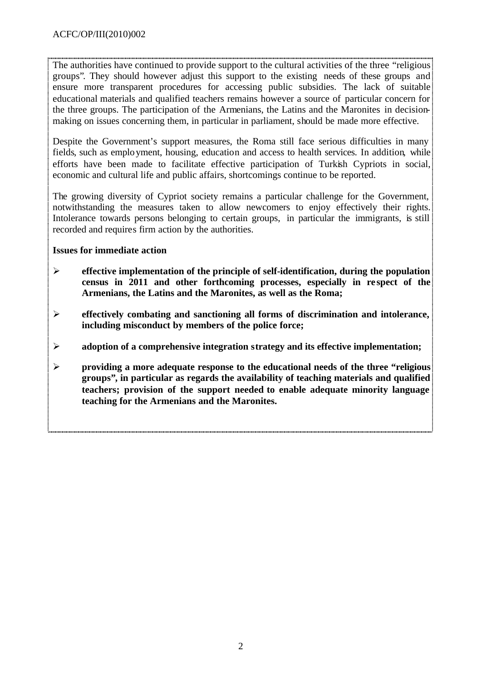The authorities have continued to provide support to the cultural activities of the three "religious groups". They should however adjust this support to the existing needs of these groups and ensure more transparent procedures for accessing public subsidies. The lack of suitable educational materials and qualified teachers remains however a source of particular concern for the three groups. The participation of the Armenians, the Latins and the Maronites in decisionmaking on issues concerning them, in particular in parliament, should be made more effective.

Despite the Government's support measures, the Roma still face serious difficulties in many fields, such as employment, housing, education and access to health services. In addition, while efforts have been made to facilitate effective participation of Turkish Cypriots in social, economic and cultural life and public affairs, shortcomings continue to be reported.

The growing diversity of Cypriot society remains a particular challenge for the Government, notwithstanding the measures taken to allow newcomers to enjoy effectively their rights. Intolerance towards persons belonging to certain groups, in particular the immigrants, is still recorded and requires firm action by the authorities.

# **Issues for immediate action**

- **Examplementation of the principle of self-identification, during the population** census in 2011 and other forthcoming processes, especially in respect of the **Armenians, the Latins and the Maronites, as well as the Roma;**
- ÿ **effectively combating and sanctioning all forms of discrimination and intolerance, including misconduct by members of the police force;**
- $\triangleright$  adoption of a comprehensive integration strategy and its effective implementation;
- ÿ **providing a more adequate response to the educational needs of the three "religious groups", in particular as regards the availability of teaching materials and qualified teachers; provision of the support needed to enable adequate minority language teaching for the Armenians and the Maronites.**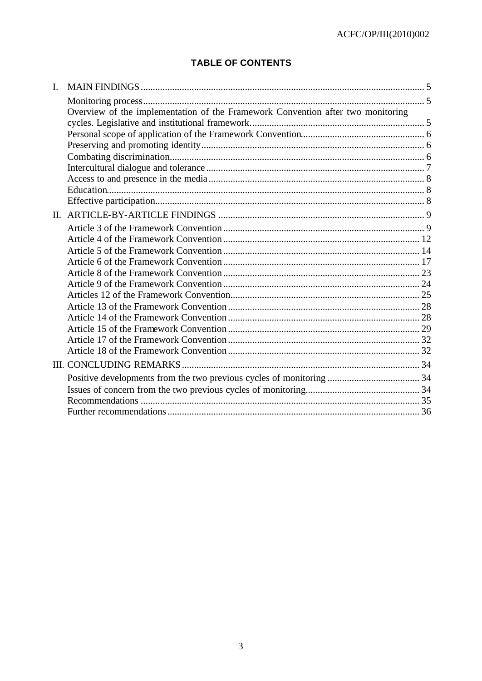# **TABLE OF CONTENTS**

| I.      |                                                                                 |  |
|---------|---------------------------------------------------------------------------------|--|
|         |                                                                                 |  |
|         | Overview of the implementation of the Framework Convention after two monitoring |  |
|         |                                                                                 |  |
|         |                                                                                 |  |
|         |                                                                                 |  |
|         |                                                                                 |  |
|         |                                                                                 |  |
|         |                                                                                 |  |
|         |                                                                                 |  |
|         |                                                                                 |  |
| $\Pi$ . |                                                                                 |  |
|         |                                                                                 |  |
|         |                                                                                 |  |
|         |                                                                                 |  |
|         |                                                                                 |  |
|         |                                                                                 |  |
|         |                                                                                 |  |
|         |                                                                                 |  |
|         |                                                                                 |  |
|         |                                                                                 |  |
|         |                                                                                 |  |
|         |                                                                                 |  |
|         |                                                                                 |  |
|         |                                                                                 |  |
|         |                                                                                 |  |
|         |                                                                                 |  |
|         |                                                                                 |  |
|         |                                                                                 |  |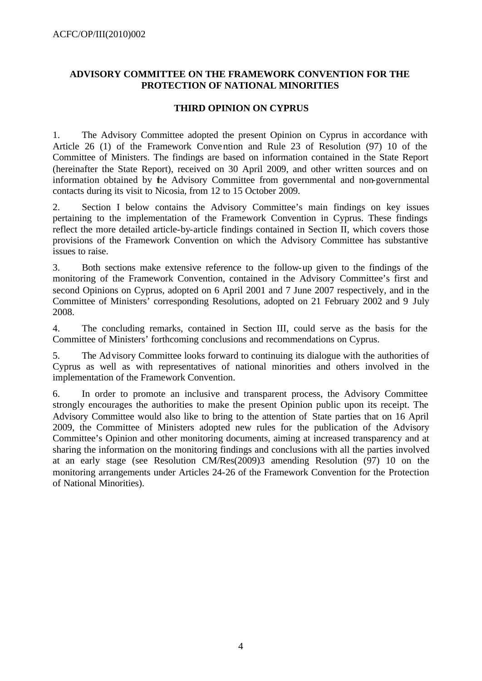# **ADVISORY COMMITTEE ON THE FRAMEWORK CONVENTION FOR THE PROTECTION OF NATIONAL MINORITIES**

# **THIRD OPINION ON CYPRUS**

1. The Advisory Committee adopted the present Opinion on Cyprus in accordance with Article 26 (1) of the Framework Convention and Rule 23 of Resolution (97) 10 of the Committee of Ministers. The findings are based on information contained in the State Report (hereinafter the State Report), received on 30 April 2009, and other written sources and on information obtained by the Advisory Committee from governmental and non-governmental contacts during its visit to Nicosia, from 12 to 15 October 2009.

2. Section I below contains the Advisory Committee's main findings on key issues pertaining to the implementation of the Framework Convention in Cyprus. These findings reflect the more detailed article-by-article findings contained in Section II, which covers those provisions of the Framework Convention on which the Advisory Committee has substantive issues to raise.

3. Both sections make extensive reference to the follow-up given to the findings of the monitoring of the Framework Convention, contained in the Advisory Committee's first and second Opinions on Cyprus, adopted on 6 April 2001 and 7 June 2007 respectively, and in the Committee of Ministers' corresponding Resolutions, adopted on 21 February 2002 and 9 July 2008.

4. The concluding remarks, contained in Section III, could serve as the basis for the Committee of Ministers' forthcoming conclusions and recommendations on Cyprus.

5. The Advisory Committee looks forward to continuing its dialogue with the authorities of Cyprus as well as with representatives of national minorities and others involved in the implementation of the Framework Convention.

6. In order to promote an inclusive and transparent process, the Advisory Committee strongly encourages the authorities to make the present Opinion public upon its receipt. The Advisory Committee would also like to bring to the attention of State parties that on 16 April 2009, the Committee of Ministers adopted new rules for the publication of the Advisory Committee's Opinion and other monitoring documents, aiming at increased transparency and at sharing the information on the monitoring findings and conclusions with all the parties involved at an early stage (see Resolution CM/Res(2009)3 amending Resolution (97) 10 on the monitoring arrangements under Articles 24-26 of the Framework Convention for the Protection of National Minorities).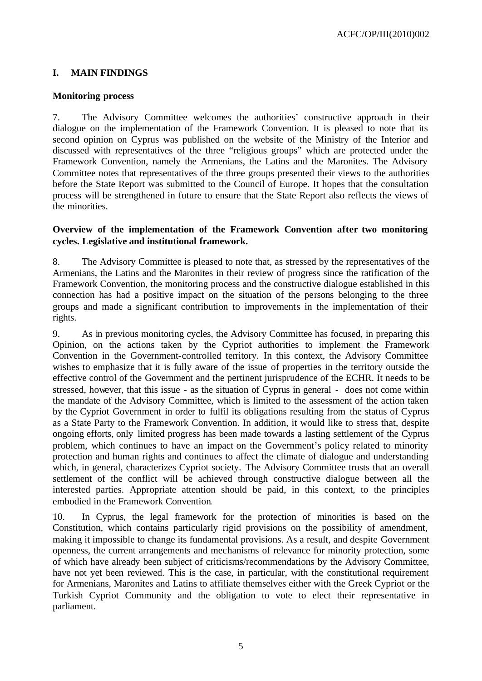# **I. MAIN FINDINGS**

### **Monitoring process**

7. The Advisory Committee welcomes the authorities' constructive approach in their dialogue on the implementation of the Framework Convention. It is pleased to note that its second opinion on Cyprus was published on the website of the Ministry of the Interior and discussed with representatives of the three "religious groups" which are protected under the Framework Convention, namely the Armenians, the Latins and the Maronites. The Advisory Committee notes that representatives of the three groups presented their views to the authorities before the State Report was submitted to the Council of Europe. It hopes that the consultation process will be strengthened in future to ensure that the State Report also reflects the views of the minorities.

# **Overview of the implementation of the Framework Convention after two monitoring cycles. Legislative and institutional framework.**

8. The Advisory Committee is pleased to note that, as stressed by the representatives of the Armenians, the Latins and the Maronites in their review of progress since the ratification of the Framework Convention, the monitoring process and the constructive dialogue established in this connection has had a positive impact on the situation of the persons belonging to the three groups and made a significant contribution to improvements in the implementation of their rights.

9. As in previous monitoring cycles, the Advisory Committee has focused, in preparing this Opinion, on the actions taken by the Cypriot authorities to implement the Framework Convention in the Government-controlled territory. In this context, the Advisory Committee wishes to emphasize that it is fully aware of the issue of properties in the territory outside the effective control of the Government and the pertinent jurisprudence of the ECHR. It needs to be stressed, however, that this issue - as the situation of Cyprus in general - does not come within the mandate of the Advisory Committee, which is limited to the assessment of the action taken by the Cypriot Government in order to fulfil its obligations resulting from the status of Cyprus as a State Party to the Framework Convention. In addition, it would like to stress that, despite ongoing efforts, only limited progress has been made towards a lasting settlement of the Cyprus problem, which continues to have an impact on the Government's policy related to minority protection and human rights and continues to affect the climate of dialogue and understanding which, in general, characterizes Cypriot society. The Advisory Committee trusts that an overall settlement of the conflict will be achieved through constructive dialogue between all the interested parties. Appropriate attention should be paid, in this context, to the principles embodied in the Framework Convention.

10. In Cyprus, the legal framework for the protection of minorities is based on the Constitution, which contains particularly rigid provisions on the possibility of amendment, making it impossible to change its fundamental provisions. As a result, and despite Government openness, the current arrangements and mechanisms of relevance for minority protection, some of which have already been subject of criticisms/recommendations by the Advisory Committee, have not yet been reviewed. This is the case, in particular, with the constitutional requirement for Armenians, Maronites and Latins to affiliate themselves either with the Greek Cypriot or the Turkish Cypriot Community and the obligation to vote to elect their representative in parliament.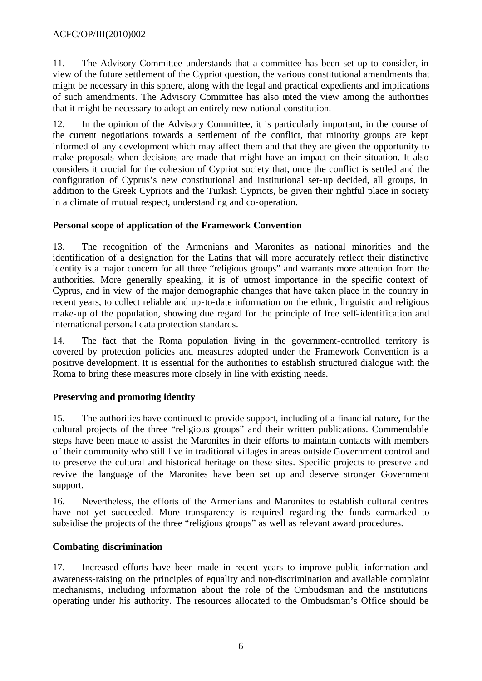11. The Advisory Committee understands that a committee has been set up to consider, in view of the future settlement of the Cypriot question, the various constitutional amendments that might be necessary in this sphere, along with the legal and practical expedients and implications of such amendments. The Advisory Committee has also noted the view among the authorities that it might be necessary to adopt an entirely new national constitution.

12. In the opinion of the Advisory Committee, it is particularly important, in the course of the current negotiations towards a settlement of the conflict, that minority groups are kept informed of any development which may affect them and that they are given the opportunity to make proposals when decisions are made that might have an impact on their situation. It also considers it crucial for the cohe sion of Cypriot society that, once the conflict is settled and the configuration of Cyprus's new constitutional and institutional set-up decided, all groups, in addition to the Greek Cypriots and the Turkish Cypriots, be given their rightful place in society in a climate of mutual respect, understanding and co-operation.

# **Personal scope of application of the Framework Convention**

13. The recognition of the Armenians and Maronites as national minorities and the identification of a designation for the Latins that will more accurately reflect their distinctive identity is a major concern for all three "religious groups" and warrants more attention from the authorities. More generally speaking, it is of utmost importance in the specific context of Cyprus, and in view of the major demographic changes that have taken place in the country in recent years, to collect reliable and up-to-date information on the ethnic, linguistic and religious make-up of the population, showing due regard for the principle of free self-identification and international personal data protection standards.

14. The fact that the Roma population living in the government-controlled territory is covered by protection policies and measures adopted under the Framework Convention is a positive development. It is essential for the authorities to establish structured dialogue with the Roma to bring these measures more closely in line with existing needs.

# **Preserving and promoting identity**

15. The authorities have continued to provide support, including of a financial nature, for the cultural projects of the three "religious groups" and their written publications. Commendable steps have been made to assist the Maronites in their efforts to maintain contacts with members of their community who still live in traditional villages in areas outside Government control and to preserve the cultural and historical heritage on these sites. Specific projects to preserve and revive the language of the Maronites have been set up and deserve stronger Government support.

16. Nevertheless, the efforts of the Armenians and Maronites to establish cultural centres have not yet succeeded. More transparency is required regarding the funds earmarked to subsidise the projects of the three "religious groups" as well as relevant award procedures.

# **Combating discrimination**

17. Increased efforts have been made in recent years to improve public information and awareness-raising on the principles of equality and non-discrimination and available complaint mechanisms, including information about the role of the Ombudsman and the institutions operating under his authority. The resources allocated to the Ombudsman's Office should be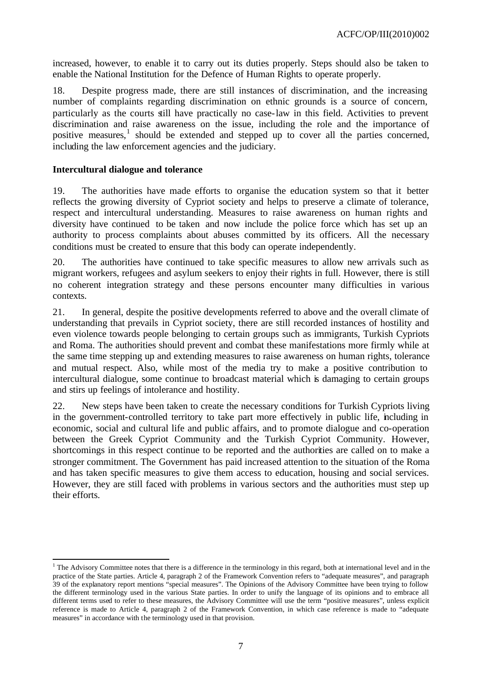increased, however, to enable it to carry out its duties properly. Steps should also be taken to enable the National Institution for the Defence of Human Rights to operate properly.

18. Despite progress made, there are still instances of discrimination, and the increasing number of complaints regarding discrimination on ethnic grounds is a source of concern, particularly as the courts still have practically no case-law in this field. Activities to prevent discrimination and raise awareness on the issue, including the role and the importance of positive measures,<sup>1</sup> should be extended and stepped up to cover all the parties concerned, including the law enforcement agencies and the judiciary.

### **Intercultural dialogue and tolerance**

l

19. The authorities have made efforts to organise the education system so that it better reflects the growing diversity of Cypriot society and helps to preserve a climate of tolerance, respect and intercultural understanding. Measures to raise awareness on human rights and diversity have continued to be taken and now include the police force which has set up an authority to process complaints about abuses committed by its officers. All the necessary conditions must be created to ensure that this body can operate independently.

20. The authorities have continued to take specific measures to allow new arrivals such as migrant workers, refugees and asylum seekers to enjoy their rights in full. However, there is still no coherent integration strategy and these persons encounter many difficulties in various contexts.

21. In general, despite the positive developments referred to above and the overall climate of understanding that prevails in Cypriot society, there are still recorded instances of hostility and even violence towards people belonging to certain groups such as immigrants, Turkish Cypriots and Roma. The authorities should prevent and combat these manifestations more firmly while at the same time stepping up and extending measures to raise awareness on human rights, tolerance and mutual respect. Also, while most of the media try to make a positive contribution to intercultural dialogue, some continue to broadcast material which is damaging to certain groups and stirs up feelings of intolerance and hostility.

22. New steps have been taken to create the necessary conditions for Turkish Cypriots living in the government-controlled territory to take part more effectively in public life, including in economic, social and cultural life and public affairs, and to promote dialogue and co-operation between the Greek Cypriot Community and the Turkish Cypriot Community. However, shortcomings in this respect continue to be reported and the authorities are called on to make a stronger commitment. The Government has paid increased attention to the situation of the Roma and has taken specific measures to give them access to education, housing and social services. However, they are still faced with problems in various sectors and the authorities must step up their efforts.

<sup>&</sup>lt;sup>1</sup> The Advisory Committee notes that there is a difference in the terminology in this regard, both at international level and in the practice of the State parties. Article 4, paragraph 2 of the Framework Convention refers to "adequate measures", and paragraph 39 of the explanatory report mentions "special measures". The Opinions of the Advisory Committee have been trying to follow the different terminology used in the various State parties. In order to unify the language of its opinions and to embrace all different terms used to refer to these measures, the Advisory Committee will use the term "positive measures", unless explicit reference is made to Article 4, paragraph 2 of the Framework Convention, in which case reference is made to "adequate measures" in accordance with the terminology used in that provision.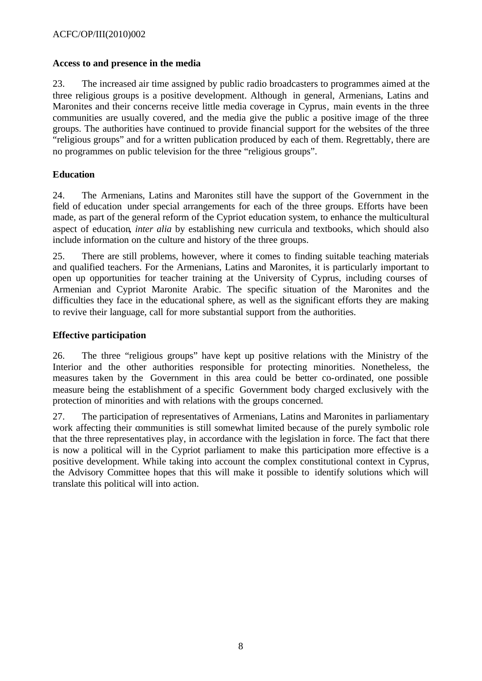### **Access to and presence in the media**

23. The increased air time assigned by public radio broadcasters to programmes aimed at the three religious groups is a positive development. Although in general, Armenians, Latins and Maronites and their concerns receive little media coverage in Cyprus, main events in the three communities are usually covered, and the media give the public a positive image of the three groups. The authorities have continued to provide financial support for the websites of the three "religious groups" and for a written publication produced by each of them. Regrettably, there are no programmes on public television for the three "religious groups".

# **Education**

24. The Armenians, Latins and Maronites still have the support of the Government in the field of education under special arrangements for each of the three groups. Efforts have been made, as part of the general reform of the Cypriot education system, to enhance the multicultural aspect of education*, inter alia* by establishing new curricula and textbooks, which should also include information on the culture and history of the three groups.

25. There are still problems, however, where it comes to finding suitable teaching materials and qualified teachers. For the Armenians, Latins and Maronites, it is particularly important to open up opportunities for teacher training at the University of Cyprus, including courses of Armenian and Cypriot Maronite Arabic. The specific situation of the Maronites and the difficulties they face in the educational sphere, as well as the significant efforts they are making to revive their language, call for more substantial support from the authorities.

# **Effective participation**

26. The three "religious groups" have kept up positive relations with the Ministry of the Interior and the other authorities responsible for protecting minorities. Nonetheless, the measures taken by the Government in this area could be better co-ordinated, one possible measure being the establishment of a specific Government body charged exclusively with the protection of minorities and with relations with the groups concerned.

27. The participation of representatives of Armenians, Latins and Maronites in parliamentary work affecting their communities is still somewhat limited because of the purely symbolic role that the three representatives play, in accordance with the legislation in force. The fact that there is now a political will in the Cypriot parliament to make this participation more effective is a positive development. While taking into account the complex constitutional context in Cyprus, the Advisory Committee hopes that this will make it possible to identify solutions which will translate this political will into action.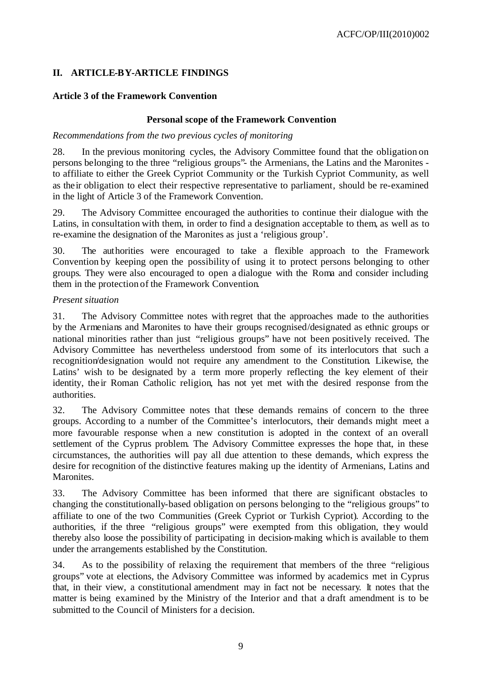# **II. ARTICLE-BY-ARTICLE FINDINGS**

# **Article 3 of the Framework Convention**

# **Personal scope of the Framework Convention**

# *Recommendations from the two previous cycles of monitoring*

28. In the previous monitoring cycles, the Advisory Committee found that the obligation on persons belonging to the three "religious groups"- the Armenians, the Latins and the Maronites to affiliate to either the Greek Cypriot Community or the Turkish Cypriot Community, as well as their obligation to elect their respective representative to parliament, should be re-examined in the light of Article 3 of the Framework Convention.

29. The Advisory Committee encouraged the authorities to continue their dialogue with the Latins, in consultation with them, in order to find a designation acceptable to them, as well as to re-examine the designation of the Maronites as just a 'religious group'.

30. The authorities were encouraged to take a flexible approach to the Framework Convention by keeping open the possibility of using it to protect persons belonging to other groups. They were also encouraged to open a dialogue with the Roma and consider including them in the protection of the Framework Convention.

# *Present situation*

31. The Advisory Committee notes with regret that the approaches made to the authorities by the Armenians and Maronites to have their groups recognised/designated as ethnic groups or national minorities rather than just "religious groups" have not been positively received. The Advisory Committee has nevertheless understood from some of its interlocutors that such a recognition/designation would not require any amendment to the Constitution. Likewise, the Latins' wish to be designated by a term more properly reflecting the key element of their identity, the ir Roman Catholic religion, has not yet met with the desired response from the authorities.

32. The Advisory Committee notes that these demands remains of concern to the three groups. According to a number of the Committee's interlocutors, their demands might meet a more favourable response when a new constitution is adopted in the context of an overall settlement of the Cyprus problem. The Advisory Committee expresses the hope that, in these circumstances, the authorities will pay all due attention to these demands, which express the desire for recognition of the distinctive features making up the identity of Armenians, Latins and Maronites.

33. The Advisory Committee has been informed that there are significant obstacles to changing the constitutionally-based obligation on persons belonging to the "religious groups" to affiliate to one of the two Communities (Greek Cypriot or Turkish Cypriot). According to the authorities, if the three "religious groups" were exempted from this obligation, they would thereby also loose the possibility of participating in decision-making which is available to them under the arrangements established by the Constitution.

34. As to the possibility of relaxing the requirement that members of the three "religious groups" vote at elections, the Advisory Committee was informed by academics met in Cyprus that, in their view, a constitutional amendment may in fact not be necessary. It notes that the matter is being examined by the Ministry of the Interior and that a draft amendment is to be submitted to the Council of Ministers for a decision.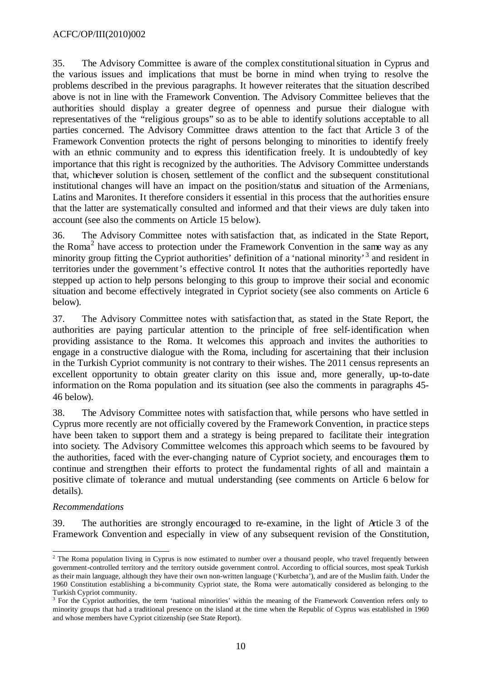35. The Advisory Committee is aware of the complex constitutional situation in Cyprus and the various issues and implications that must be borne in mind when trying to resolve the problems described in the previous paragraphs. It however reiterates that the situation described above is not in line with the Framework Convention. The Advisory Committee believes that the authorities should display a greater degree of openness and pursue their dialogue with representatives of the "religious groups" so as to be able to identify solutions acceptable to all parties concerned. The Advisory Committee draws attention to the fact that Article 3 of the Framework Convention protects the right of persons belonging to minorities to identify freely with an ethnic community and to express this identification freely. It is undoubtedly of key importance that this right is recognized by the authorities. The Advisory Committee understands that, whichever solution is chosen, settlement of the conflict and the subsequent constitutional institutional changes will have an impact on the position/status and situation of the Armenians, Latins and Maronites. It therefore considers it essential in this process that the authorities ensure that the latter are systematically consulted and informed and that their views are duly taken into account (see also the comments on Article 15 below).

36. The Advisory Committee notes with satisfaction that, as indicated in the State Report, the Roma 2 have access to protection under the Framework Convention in the same way as any minority group fitting the Cypriot authorities' definition of a 'national minority'<sup>3</sup> and resident in territories under the government's effective control. It notes that the authorities reportedly have stepped up action to help persons belonging to this group to improve their social and economic situation and become effectively integrated in Cypriot society (see also comments on Article 6 below).

37. The Advisory Committee notes with satisfaction that, as stated in the State Report, the authorities are paying particular attention to the principle of free self-identification when providing assistance to the Roma. It welcomes this approach and invites the authorities to engage in a constructive dialogue with the Roma, including for ascertaining that their inclusion in the Turkish Cypriot community is not contrary to their wishes. The 2011 census represents an excellent opportunity to obtain greater clarity on this issue and, more generally, up-to-date information on the Roma population and its situation (see also the comments in paragraphs 45- 46 below).

38. The Advisory Committee notes with satisfaction that, while persons who have settled in Cyprus more recently are not officially covered by the Framework Convention, in practice steps have been taken to support them and a strategy is being prepared to facilitate their integration into society. The Advisory Committee welcomes this approach which seems to be favoured by the authorities, faced with the ever-changing nature of Cypriot society, and encourages them to continue and strengthen their efforts to protect the fundamental rights of all and maintain a positive climate of tolerance and mutual understanding (see comments on Article 6 below for details).

# *Recommendations*

39. The authorities are strongly encouraged to re-examine, in the light of Article 3 of the Framework Convention and especially in view of any subsequent revision of the Constitution,

<sup>&</sup>lt;sup>2</sup> The Roma population living in Cyprus is now estimated to number over a thousand people, who travel frequently between government-controlled territory and the territory outside government control. According to official sources, most speak Turkish as their main language, although they have their own non-written language ('Kurbetcha'), and are of the Muslim faith. Under the 1960 Constitution establishing a bi-community Cypriot state, the Roma were automatically considered as belonging to the Turkish Cypriot community.

<sup>&</sup>lt;sup>3</sup> For the Cypriot authorities, the term 'national minorities' within the meaning of the Framework Convention refers only to minority groups that had a traditional presence on the island at the time when the Republic of Cyprus was established in 1960 and whose members have Cypriot citizenship (see State Report).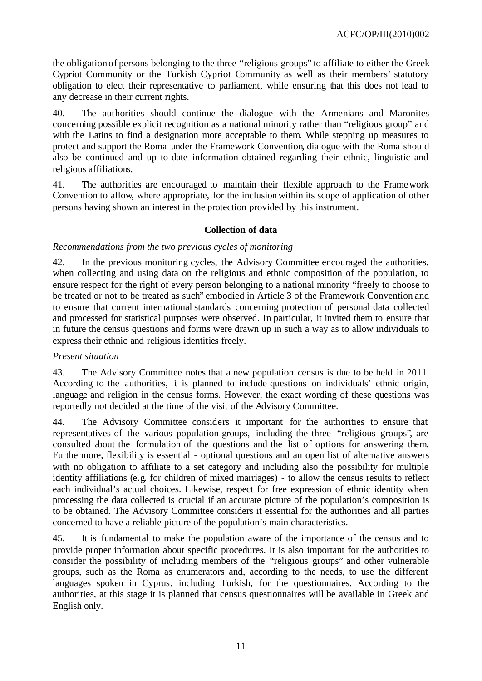the obligation of persons belonging to the three "religious groups" to affiliate to either the Greek Cypriot Community or the Turkish Cypriot Community as well as their members' statutory obligation to elect their representative to parliament, while ensuring that this does not lead to any decrease in their current rights.

40. The authorities should continue the dialogue with the Armenians and Maronites concerning possible explicit recognition as a national minority rather than "religious group" and with the Latins to find a designation more acceptable to them. While stepping up measures to protect and support the Roma under the Framework Convention, dialogue with the Roma should also be continued and up-to-date information obtained regarding their ethnic, linguistic and religious affiliations.

41. The authorities are encouraged to maintain their flexible approach to the Framework Convention to allow, where appropriate, for the inclusion within its scope of application of other persons having shown an interest in the protection provided by this instrument.

### **Collection of data**

### *Recommendations from the two previous cycles of monitoring*

42. In the previous monitoring cycles, the Advisory Committee encouraged the authorities, when collecting and using data on the religious and ethnic composition of the population, to ensure respect for the right of every person belonging to a national minority "freely to choose to be treated or not to be treated as such" embodied in Article 3 of the Framework Convention and to ensure that current international standards concerning protection of personal data collected and processed for statistical purposes were observed. In particular, it invited them to ensure that in future the census questions and forms were drawn up in such a way as to allow individuals to express their ethnic and religious identities freely.

#### *Present situation*

43. The Advisory Committee notes that a new population census is due to be held in 2011. According to the authorities,  $\dot{\mathbf{t}}$  is planned to include questions on individuals' ethnic origin, language and religion in the census forms. However, the exact wording of these questions was reportedly not decided at the time of the visit of the Advisory Committee.

44. The Advisory Committee considers it important for the authorities to ensure that representatives of the various population groups, including the three "religious groups", are consulted about the formulation of the questions and the list of options for answering them. Furthermore, flexibility is essential - optional questions and an open list of alternative answers with no obligation to affiliate to a set category and including also the possibility for multiple identity affiliations (e.g. for children of mixed marriages) - to allow the census results to reflect each individual's actual choices. Likewise, respect for free expression of ethnic identity when processing the data collected is crucial if an accurate picture of the population's composition is to be obtained. The Advisory Committee considers it essential for the authorities and all parties concerned to have a reliable picture of the population's main characteristics.

45. It is fundamental to make the population aware of the importance of the census and to provide proper information about specific procedures. It is also important for the authorities to consider the possibility of including members of the "religious groups" and other vulnerable groups, such as the Roma as enumerators and, according to the needs, to use the different languages spoken in Cyprus, including Turkish, for the questionnaires. According to the authorities, at this stage it is planned that census questionnaires will be available in Greek and English only.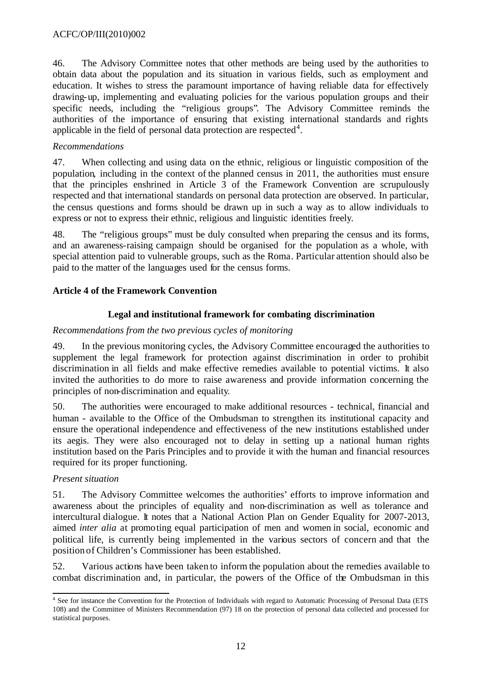46. The Advisory Committee notes that other methods are being used by the authorities to obtain data about the population and its situation in various fields, such as employment and education. It wishes to stress the paramount importance of having reliable data for effectively drawing-up, implementing and evaluating policies for the various population groups and their specific needs, including the "religious groups". The Advisory Committee reminds the authorities of the importance of ensuring that existing international standards and rights applicable in the field of personal data protection are respected<sup>4</sup>.

# *Recommendations*

47. When collecting and using data on the ethnic, religious or linguistic composition of the population, including in the context of the planned census in 2011, the authorities must ensure that the principles enshrined in Article 3 of the Framework Convention are scrupulously respected and that international standards on personal data protection are observed. In particular, the census questions and forms should be drawn up in such a way as to allow individuals to express or not to express their ethnic, religious and linguistic identities freely.

48. The "religious groups" must be duly consulted when preparing the census and its forms, and an awareness-raising campaign should be organised for the population as a whole, with special attention paid to vulnerable groups, such as the Roma. Particular attention should also be paid to the matter of the languages used for the census forms.

# **Article 4 of the Framework Convention**

# **Legal and institutional framework for combating discrimination**

# *Recommendations from the two previous cycles of monitoring*

49. In the previous monitoring cycles, the Advisory Committee encouraged the authorities to supplement the legal framework for protection against discrimination in order to prohibit discrimination in all fields and make effective remedies available to potential victims. It also invited the authorities to do more to raise awareness and provide information concerning the principles of non-discrimination and equality.

50. The authorities were encouraged to make additional resources - technical, financial and human - available to the Office of the Ombudsman to strengthen its institutional capacity and ensure the operational independence and effectiveness of the new institutions established under its aegis. They were also encouraged not to delay in setting up a national human rights institution based on the Paris Principles and to provide it with the human and financial resources required for its proper functioning.

# *Present situation*

51. The Advisory Committee welcomes the authorities' efforts to improve information and awareness about the principles of equality and non-discrimination as well as tolerance and intercultural dialogue. It notes that a National Action Plan on Gender Equality for 2007-2013, aimed *inter alia* at promoting equal participation of men and women in social, economic and political life, is currently being implemented in the various sectors of concern and that the position of Children's Commissioner has been established.

52. Various actions have been taken to inform the population about the remedies available to combat discrimination and, in particular, the powers of the Office of the Ombudsman in this

l <sup>4</sup> See for instance the Convention for the Protection of Individuals with regard to Automatic Processing of Personal Data (ETS 108) and the Committee of Ministers Recommendation (97) 18 on the protection of personal data collected and processed for statistical purposes.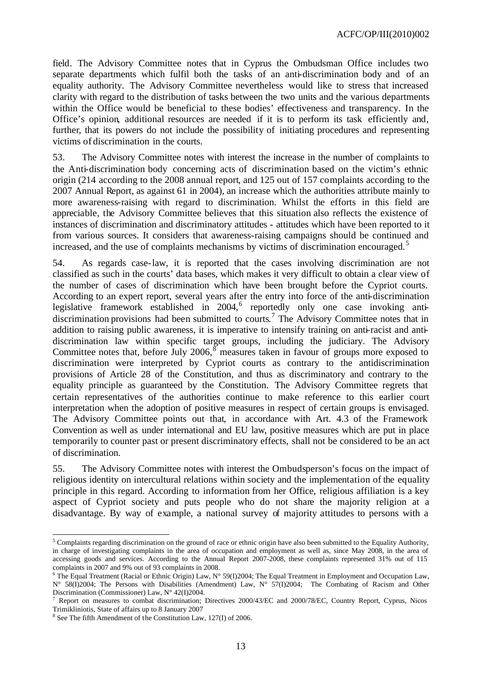field. The Advisory Committee notes that in Cyprus the Ombudsman Office includes two separate departments which fulfil both the tasks of an anti-discrimination body and of an equality authority. The Advisory Committee nevertheless would like to stress that increased clarity with regard to the distribution of tasks between the two units and the various departments within the Office would be beneficial to these bodies' effectiveness and transparency. In the Office's opinion, additional resources are needed if it is to perform its task efficiently and, further, that its powers do not include the possibility of initiating procedures and representing victims of discrimination in the courts.

53. The Advisory Committee notes with interest the increase in the number of complaints to the Anti-discrimination body concerning acts of discrimination based on the victim's ethnic origin (214 according to the 2008 annual report, and 125 out of 157 complaints according to the 2007 Annual Report, as against 61 in 2004), an increase which the authorities attribute mainly to more awareness-raising with regard to discrimination. Whilst the efforts in this field are appreciable, the Advisory Committee believes that this situation also reflects the existence of instances of discrimination and discriminatory attitudes - attitudes which have been reported to it from various sources. It considers that awareness-raising campaigns should be continued and increased, and the use of complaints mechanisms by victims of discrimination encouraged.<sup>5</sup>

54. As regards case-law, it is reported that the cases involving discrimination are not classified as such in the courts' data bases, which makes it very difficult to obtain a clear view of the number of cases of discrimination which have been brought before the Cypriot courts. According to an expert report, several years after the entry into force of the anti-discrimination legislative framework established in 2004,<sup>6</sup> reportedly only one case invoking antidiscrimination provisions had been submitted to courts. <sup>7</sup> The Advisory Committee notes that in addition to raising public awareness, it is imperative to intensify training on anti-racist and antidiscrimination law within specific target groups, including the judiciary. The Advisory Committee notes that, before July 2006,  $\frac{8}{9}$  measures taken in favour of groups more exposed to discrimination were interpreted by Cypriot courts as contrary to the antidiscrimination provisions of Article 28 of the Constitution, and thus as discriminatory and contrary to the equality principle as guaranteed by the Constitution. The Advisory Committee regrets that certain representatives of the authorities continue to make reference to this earlier court interpretation when the adoption of positive measures in respect of certain groups is envisaged. The Advisory Committee points out that, in accordance with Art. 4.3 of the Framework Convention as well as under international and EU law, positive measures which are put in place temporarily to counter past or present discriminatory effects, shall not be considered to be an act of discrimination.

55. The Advisory Committee notes with interest the Ombudsperson's focus on the impact of religious identity on intercultural relations within society and the implementation of the equality principle in this regard. According to information from her Office, religious affiliation is a key aspect of Cypriot society and puts people who do not share the majority religion at a disadvantage. By way of example, a national survey of majority attitudes to persons with a

l <sup>5</sup> Complaints regarding discrimination on the ground of race or ethnic origin have also been submitted to the Equality Authority, in charge of investigating complaints in the area of occupation and employment as well as, since May 2008, in the area of accessing goods and services. According to the Annual Report 2007-2008, these complaints represented 31% out of 115 complaints in 2007 and 9% out of 93 complaints in 2008.

<sup>&</sup>lt;sup>6</sup> The Equal Treatment (Racial or Ethnic Origin) Law,  $N^{\circ}$  59(I)2004; The Equal Treatment in Employment and Occupation Law, N° 58(I)2004; The Persons with Disabilities (Amendment) Law, N° 57(I)2004; The Combating of Racism and Other Discrimination (Commissioner) Law, N° 42(I)2004.

<sup>7</sup> Report on measures to combat discrimination; Directives 2000/43/EC and 2000/78/EC, Country Report, Cyprus, Nicos Trimikliniotis, State of affairs up to 8 January 2007

<sup>&</sup>lt;sup>8</sup> See The fifth Amendment of the Constitution Law, 127(I) of 2006.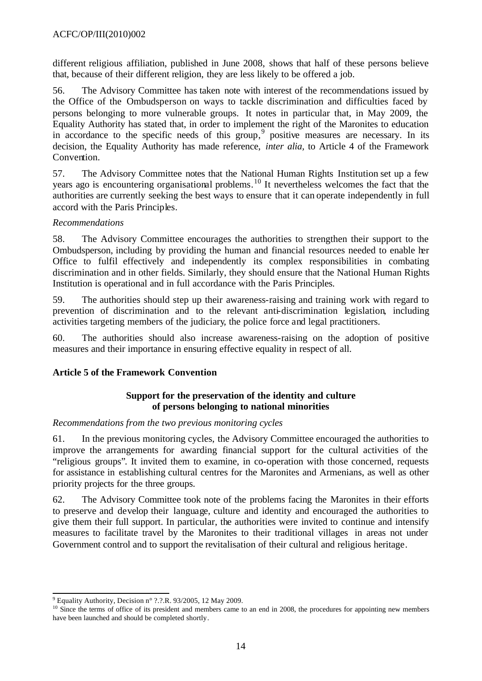different religious affiliation, published in June 2008, shows that half of these persons believe that, because of their different religion, they are less likely to be offered a job.

56. The Advisory Committee has taken note with interest of the recommendations issued by the Office of the Ombudsperson on ways to tackle discrimination and difficulties faced by persons belonging to more vulnerable groups. It notes in particular that, in May 2009, the Equality Authority has stated that, in order to implement the right of the Maronites to education in accordance to the specific needs of this group,<sup>9</sup> positive measures are necessary. In its decision, the Equality Authority has made reference, *inter alia,* to Article 4 of the Framework Convention.

57. The Advisory Committee notes that the National Human Rights Institution set up a few years ago is encountering organisational problems.<sup>10</sup> It nevertheless welcomes the fact that the authorities are currently seeking the best ways to ensure that it can operate independently in full accord with the Paris Principles.

### *Recommendations*

58. The Advisory Committee encourages the authorities to strengthen their support to the Ombudsperson, including by providing the human and financial resources needed to enable her Office to fulfil effectively and independently its complex responsibilities in combating discrimination and in other fields. Similarly, they should ensure that the National Human Rights Institution is operational and in full accordance with the Paris Principles.

59. The authorities should step up their awareness-raising and training work with regard to prevention of discrimination and to the relevant anti-discrimination legislation, including activities targeting members of the judiciary, the police force and legal practitioners.

60. The authorities should also increase awareness-raising on the adoption of positive measures and their importance in ensuring effective equality in respect of all.

# **Article 5 of the Framework Convention**

### **Support for the preservation of the identity and culture of persons belonging to national minorities**

### *Recommendations from the two previous monitoring cycles*

61. In the previous monitoring cycles, the Advisory Committee encouraged the authorities to improve the arrangements for awarding financial support for the cultural activities of the "religious groups". It invited them to examine, in co-operation with those concerned, requests for assistance in establishing cultural centres for the Maronites and Armenians, as well as other priority projects for the three groups.

62. The Advisory Committee took note of the problems facing the Maronites in their efforts to preserve and develop their language, culture and identity and encouraged the authorities to give them their full support. In particular, the authorities were invited to continue and intensify measures to facilitate travel by the Maronites to their traditional villages in areas not under Government control and to support the revitalisation of their cultural and religious heritage.

l  $9^9$  Equality Authority, Decision n° ?.?.R. 93/2005, 12 May 2009.

 $10$  Since the terms of office of its president and members came to an end in 2008, the procedures for appointing new members have been launched and should be completed shortly.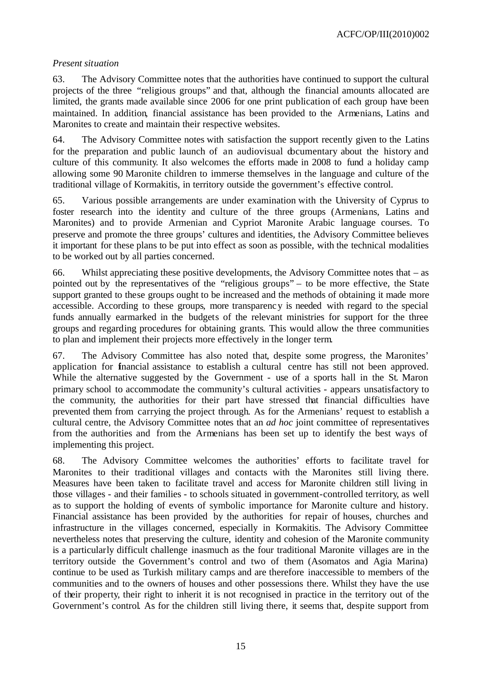ACFC/OP/III(2010)002

### *Present situation*

63. The Advisory Committee notes that the authorities have continued to support the cultural projects of the three "religious groups" and that, although the financial amounts allocated are limited, the grants made available since 2006 for one print publication of each group have been maintained. In addition, financial assistance has been provided to the Armenians, Latins and Maronites to create and maintain their respective websites.

64. The Advisory Committee notes with satisfaction the support recently given to the Latins for the preparation and public launch of an audiovisual documentary about the history and culture of this community. It also welcomes the efforts made in 2008 to fund a holiday camp allowing some 90 Maronite children to immerse themselves in the language and culture of the traditional village of Kormakitis, in territory outside the government's effective control.

65. Various possible arrangements are under examination with the University of Cyprus to foster research into the identity and culture of the three groups (Armenians, Latins and Maronites) and to provide Armenian and Cypriot Maronite Arabic language courses. To preserve and promote the three groups' cultures and identities, the Advisory Committee believes it important for these plans to be put into effect as soon as possible, with the technical modalities to be worked out by all parties concerned.

66. Whilst appreciating these positive developments, the Advisory Committee notes that – as pointed out by the representatives of the "religious groups" – to be more effective, the State support granted to these groups ought to be increased and the methods of obtaining it made more accessible. According to these groups, more transparency is needed with regard to the special funds annually earmarked in the budgets of the relevant ministries for support for the three groups and regarding procedures for obtaining grants. This would allow the three communities to plan and implement their projects more effectively in the longer term.

67. The Advisory Committee has also noted that, despite some progress, the Maronites' application for financial assistance to establish a cultural centre has still not been approved. While the alternative suggested by the Government - use of a sports hall in the St. Maron primary school to accommodate the community's cultural activities - appears unsatisfactory to the community, the authorities for their part have stressed that financial difficulties have prevented them from carrying the project through. As for the Armenians' request to establish a cultural centre, the Advisory Committee notes that an *ad hoc* joint committee of representatives from the authorities and from the Armenians has been set up to identify the best ways of implementing this project.

68. The Advisory Committee welcomes the authorities' efforts to facilitate travel for Maronites to their traditional villages and contacts with the Maronites still living there. Measures have been taken to facilitate travel and access for Maronite children still living in those villages - and their families - to schools situated in government-controlled territory, as well as to support the holding of events of symbolic importance for Maronite culture and history. Financial assistance has been provided by the authorities for repair of houses, churches and infrastructure in the villages concerned, especially in Kormakitis. The Advisory Committee nevertheless notes that preserving the culture, identity and cohesion of the Maronite community is a particularly difficult challenge inasmuch as the four traditional Maronite villages are in the territory outside the Government's control and two of them (Asomatos and Agia Marina) continue to be used as Turkish military camps and are therefore inaccessible to members of the communities and to the owners of houses and other possessions there. Whilst they have the use of their property, their right to inherit it is not recognised in practice in the territory out of the Government's control. As for the children still living there, it seems that, despite support from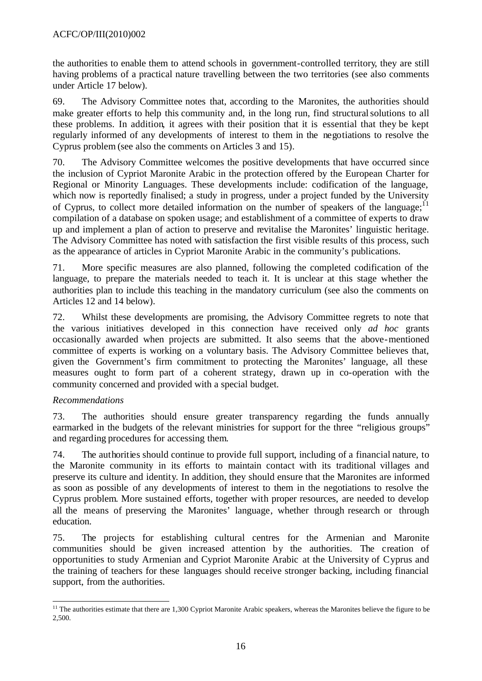the authorities to enable them to attend schools in government-controlled territory, they are still having problems of a practical nature travelling between the two territories (see also comments under Article 17 below).

69. The Advisory Committee notes that, according to the Maronites, the authorities should make greater efforts to help this community and, in the long run, find structural solutions to all these problems. In addition, it agrees with their position that it is essential that they be kept regularly informed of any developments of interest to them in the negotiations to resolve the Cyprus problem (see also the comments on Articles 3 and 15).

70. The Advisory Committee welcomes the positive developments that have occurred since the inclusion of Cypriot Maronite Arabic in the protection offered by the European Charter for Regional or Minority Languages. These developments include: codification of the language, which now is reportedly finalised; a study in progress, under a project funded by the University of Cyprus, to collect more detailed information on the number of speakers of the language;<sup>11</sup> compilation of a database on spoken usage; and establishment of a committee of experts to draw up and implement a plan of action to preserve and revitalise the Maronites' linguistic heritage. The Advisory Committee has noted with satisfaction the first visible results of this process, such as the appearance of articles in Cypriot Maronite Arabic in the community's publications.

71. More specific measures are also planned, following the completed codification of the language, to prepare the materials needed to teach it. It is unclear at this stage whether the authorities plan to include this teaching in the mandatory curriculum (see also the comments on Articles 12 and 14 below).

72. Whilst these developments are promising, the Advisory Committee regrets to note that the various initiatives developed in this connection have received only *ad hoc* grants occasionally awarded when projects are submitted. It also seems that the above-mentioned committee of experts is working on a voluntary basis. The Advisory Committee believes that, given the Government's firm commitment to protecting the Maronites' language, all these measures ought to form part of a coherent strategy, drawn up in co-operation with the community concerned and provided with a special budget.

# *Recommendations*

73. The authorities should ensure greater transparency regarding the funds annually earmarked in the budgets of the relevant ministries for support for the three "religious groups" and regarding procedures for accessing them.

74. The authorities should continue to provide full support, including of a financial nature, to the Maronite community in its efforts to maintain contact with its traditional villages and preserve its culture and identity. In addition, they should ensure that the Maronites are informed as soon as possible of any developments of interest to them in the negotiations to resolve the Cyprus problem. More sustained efforts, together with proper resources, are needed to develop all the means of preserving the Maronites' language, whether through research or through education.

75. The projects for establishing cultural centres for the Armenian and Maronite communities should be given increased attention by the authorities. The creation of opportunities to study Armenian and Cypriot Maronite Arabic at the University of Cyprus and the training of teachers for these languages should receive stronger backing, including financial support, from the authorities.

l <sup>11</sup> The authorities estimate that there are 1,300 Cypriot Maronite Arabic speakers, whereas the Maronites believe the figure to be 2,500.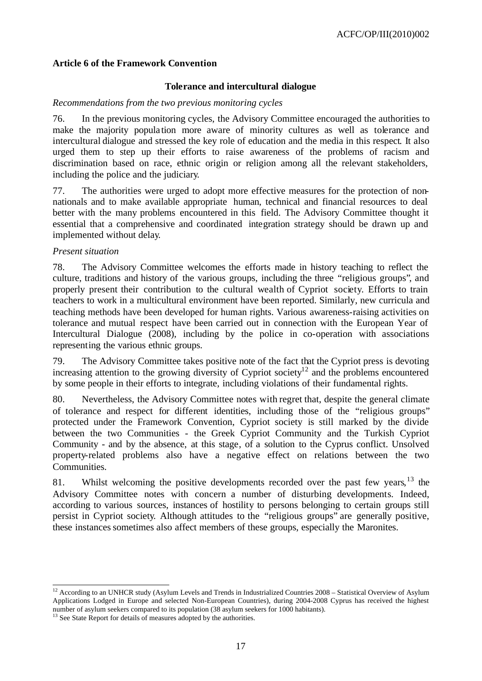### **Article 6 of the Framework Convention**

### **Tolerance and intercultural dialogue**

### *Recommendations from the two previous monitoring cycles*

76. In the previous monitoring cycles, the Advisory Committee encouraged the authorities to make the majority popula tion more aware of minority cultures as well as tolerance and intercultural dialogue and stressed the key role of education and the media in this respect. It also urged them to step up their efforts to raise awareness of the problems of racism and discrimination based on race, ethnic origin or religion among all the relevant stakeholders, including the police and the judiciary.

77. The authorities were urged to adopt more effective measures for the protection of nonnationals and to make available appropriate human, technical and financial resources to deal better with the many problems encountered in this field. The Advisory Committee thought it essential that a comprehensive and coordinated integration strategy should be drawn up and implemented without delay.

### *Present situation*

l

78. The Advisory Committee welcomes the efforts made in history teaching to reflect the culture, traditions and history of the various groups, including the three "religious groups", and properly present their contribution to the cultural wealth of Cypriot society. Efforts to train teachers to work in a multicultural environment have been reported. Similarly, new curricula and teaching methods have been developed for human rights. Various awareness-raising activities on tolerance and mutual respect have been carried out in connection with the European Year of Intercultural Dialogue (2008), including by the police in co-operation with associations representing the various ethnic groups.

79. The Advisory Committee takes positive note of the fact that the Cypriot press is devoting increasing attention to the growing diversity of Cypriot society<sup>12</sup> and the problems encountered by some people in their efforts to integrate, including violations of their fundamental rights.

80. Nevertheless, the Advisory Committee notes with regret that, despite the general climate of tolerance and respect for different identities, including those of the "religious groups" protected under the Framework Convention, Cypriot society is still marked by the divide between the two Communities - the Greek Cypriot Community and the Turkish Cypriot Community - and by the absence, at this stage, of a solution to the Cyprus conflict. Unsolved property-related problems also have a negative effect on relations between the two Communities.

81. Whilst welcoming the positive developments recorded over the past few years,  $13$  the Advisory Committee notes with concern a number of disturbing developments. Indeed, according to various sources, instances of hostility to persons belonging to certain groups still persist in Cypriot society. Although attitudes to the "religious groups" are generally positive, these instances sometimes also affect members of these groups, especially the Maronites.

 $12$  According to an UNHCR study (Asylum Levels and Trends in Industrialized Countries 2008 – Statistical Overview of Asylum Applications Lodged in Europe and selected Non-European Countries), during 2004-2008 Cyprus has received the highest number of asylum seekers compared to its population (38 asylum seekers for 1000 habitants).

 $13$  See State Report for details of measures adopted by the authorities.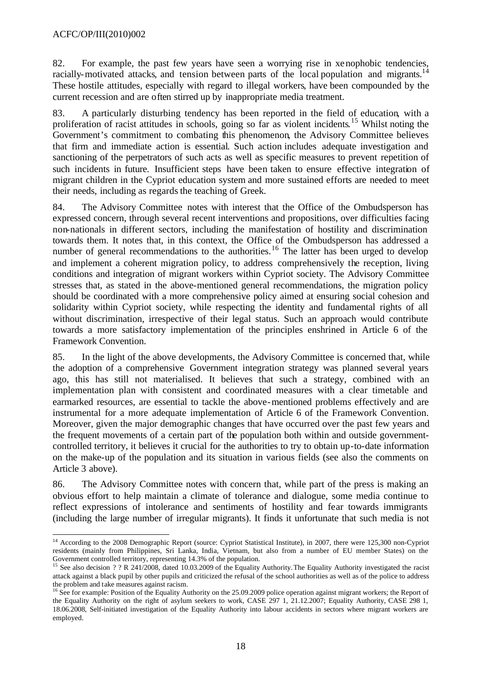### ACFC/OP/III(2010)002

82. For example, the past few years have seen a worrying rise in xenophobic tendencies, racially-motivated attacks, and tension between parts of the local population and migrants.<sup>14</sup> These hostile attitudes, especially with regard to illegal workers, have been compounded by the current recession and are often stirred up by inappropriate media treatment.

83. A particularly disturbing tendency has been reported in the field of education, with a proliferation of racist attitudes in schools, going so far as violent incidents.<sup>15</sup> Whilst noting the Government's commitment to combating this phenomenon, the Advisory Committee believes that firm and immediate action is essential. Such action includes adequate investigation and sanctioning of the perpetrators of such acts as well as specific measures to prevent repetition of such incidents in future. Insufficient steps have been taken to ensure effective integration of migrant children in the Cypriot education system and more sustained efforts are needed to meet their needs, including as regards the teaching of Greek.

84. The Advisory Committee notes with interest that the Office of the Ombudsperson has expressed concern, through several recent interventions and propositions, over difficulties facing non-nationals in different sectors, including the manifestation of hostility and discrimination towards them. It notes that, in this context, the Office of the Ombudsperson has addressed a number of general recommendations to the authorities.<sup>16</sup> The latter has been urged to develop and implement a coherent migration policy, to address comprehensively the reception, living conditions and integration of migrant workers within Cypriot society. The Advisory Committee stresses that, as stated in the above-mentioned general recommendations, the migration policy should be coordinated with a more comprehensive policy aimed at ensuring social cohesion and solidarity within Cypriot society, while respecting the identity and fundamental rights of all without discrimination, irrespective of their legal status. Such an approach would contribute towards a more satisfactory implementation of the principles enshrined in Article 6 of the Framework Convention.

85. In the light of the above developments, the Advisory Committee is concerned that, while the adoption of a comprehensive Government integration strategy was planned several years ago, this has still not materialised. It believes that such a strategy, combined with an implementation plan with consistent and coordinated measures with a clear timetable and earmarked resources, are essential to tackle the above-mentioned problems effectively and are instrumental for a more adequate implementation of Article 6 of the Framework Convention. Moreover, given the major demographic changes that have occurred over the past few years and the frequent movements of a certain part of the population both within and outside governmentcontrolled territory, it believes it crucial for the authorities to try to obtain up-to-date information on the make-up of the population and its situation in various fields (see also the comments on Article 3 above).

86. The Advisory Committee notes with concern that, while part of the press is making an obvious effort to help maintain a climate of tolerance and dialogue, some media continue to reflect expressions of intolerance and sentiments of hostility and fear towards immigrants (including the large number of irregular migrants). It finds it unfortunate that such media is not

l <sup>14</sup> According to the 2008 Demographic Report (source: Cypriot Statistical Institute), in 2007, there were 125,300 non-Cypriot residents (mainly from Philippines, Sri Lanka, India, Vietnam, but also from a number of EU member States) on the Government controlled territory, representing 14.3% of the population.

<sup>&</sup>lt;sup>15</sup> See also decision ? ? R 241/2008, dated 10.03.2009 of the Equality Authority. The Equality Authority investigated the racist attack against a black pupil by other pupils and criticized the refusal of the school authorities as well as of the police to address the problem and take measures against racism.

<sup>&</sup>lt;sup>16</sup> See for example: Position of the Equality Authority on the 25.09.2009 police operation against migrant workers; the Report of the Equality Authority on the right of asylum seekers to work, CASE 297 1, 21.12.2007; Equality Authority, CASE 298 1, 18.06.2008, Self-initiated investigation of the Equality Authority into labour accidents in sectors where migrant workers are employed.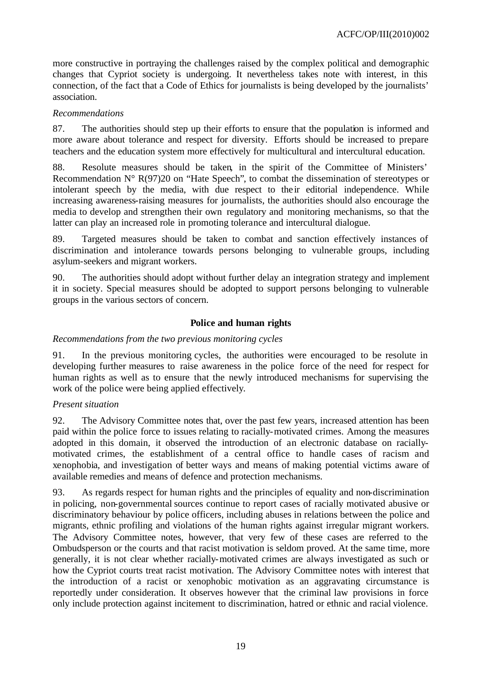more constructive in portraying the challenges raised by the complex political and demographic changes that Cypriot society is undergoing. It nevertheless takes note with interest, in this connection, of the fact that a Code of Ethics for journalists is being developed by the journalists' association.

### *Recommendations*

87. The authorities should step up their efforts to ensure that the population is informed and more aware about tolerance and respect for diversity. Efforts should be increased to prepare teachers and the education system more effectively for multicultural and intercultural education.

88. Resolute measures should be taken, in the spirit of the Committee of Ministers' Recommendation  $N^{\circ} R(97)20$  on "Hate Speech", to combat the dissemination of stereotypes or intolerant speech by the media, with due respect to the ir editorial independence. While increasing awareness-raising measures for journalists, the authorities should also encourage the media to develop and strengthen their own regulatory and monitoring mechanisms, so that the latter can play an increased role in promoting tolerance and intercultural dialogue.

89. Targeted measures should be taken to combat and sanction effectively instances of discrimination and intolerance towards persons belonging to vulnerable groups, including asylum-seekers and migrant workers.

90. The authorities should adopt without further delay an integration strategy and implement it in society. Special measures should be adopted to support persons belonging to vulnerable groups in the various sectors of concern.

# **Police and human rights**

### *Recommendations from the two previous monitoring cycles*

91. In the previous monitoring cycles, the authorities were encouraged to be resolute in developing further measures to raise awareness in the police force of the need for respect for human rights as well as to ensure that the newly introduced mechanisms for supervising the work of the police were being applied effectively.

#### *Present situation*

92. The Advisory Committee notes that, over the past few years, increased attention has been paid within the police force to issues relating to racially-motivated crimes. Among the measures adopted in this domain, it observed the introduction of an electronic database on raciallymotivated crimes, the establishment of a central office to handle cases of racism and xenophobia, and investigation of better ways and means of making potential victims aware of available remedies and means of defence and protection mechanisms.

93. As regards respect for human rights and the principles of equality and non-discrimination in policing, non-governmental sources continue to report cases of racially motivated abusive or discriminatory behaviour by police officers, including abuses in relations between the police and migrants, ethnic profiling and violations of the human rights against irregular migrant workers. The Advisory Committee notes, however, that very few of these cases are referred to the Ombudsperson or the courts and that racist motivation is seldom proved. At the same time, more generally, it is not clear whether racially-motivated crimes are always investigated as such or how the Cypriot courts treat racist motivation. The Advisory Committee notes with interest that the introduction of a racist or xenophobic motivation as an aggravating circumstance is reportedly under consideration. It observes however that the criminal law provisions in force only include protection against incitement to discrimination, hatred or ethnic and racial violence.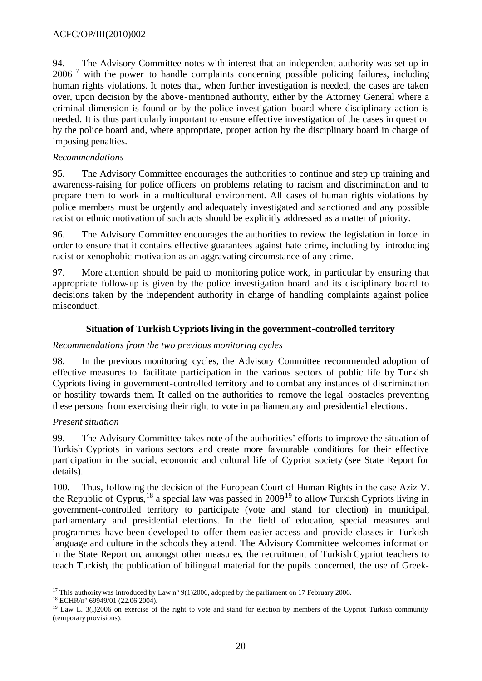94. The Advisory Committee notes with interest that an independent authority was set up in  $2006<sup>17</sup>$  with the power to handle complaints concerning possible policing failures, including human rights violations. It notes that, when further investigation is needed, the cases are taken over, upon decision by the above-mentioned authority, either by the Attorney General where a criminal dimension is found or by the police investigation board where disciplinary action is needed. It is thus particularly important to ensure effective investigation of the cases in question by the police board and, where appropriate, proper action by the disciplinary board in charge of imposing penalties.

### *Recommendations*

95. The Advisory Committee encourages the authorities to continue and step up training and awareness-raising for police officers on problems relating to racism and discrimination and to prepare them to work in a multicultural environment. All cases of human rights violations by police members must be urgently and adequately investigated and sanctioned and any possible racist or ethnic motivation of such acts should be explicitly addressed as a matter of priority.

96. The Advisory Committee encourages the authorities to review the legislation in force in order to ensure that it contains effective guarantees against hate crime, including by introducing racist or xenophobic motivation as an aggravating circumstance of any crime.

97. More attention should be paid to monitoring police work, in particular by ensuring that appropriate follow-up is given by the police investigation board and its disciplinary board to decisions taken by the independent authority in charge of handling complaints against police misconduct.

# **Situation of Turkish Cypriots living in the government-controlled territory**

### *Recommendations from the two previous monitoring cycles*

98. In the previous monitoring cycles, the Advisory Committee recommended adoption of effective measures to facilitate participation in the various sectors of public life by Turkish Cypriots living in government-controlled territory and to combat any instances of discrimination or hostility towards them. It called on the authorities to remove the legal obstacles preventing these persons from exercising their right to vote in parliamentary and presidential elections.

# *Present situation*

99. The Advisory Committee takes note of the authorities' efforts to improve the situation of Turkish Cypriots in various sectors and create more favourable conditions for their effective participation in the social, economic and cultural life of Cypriot society (see State Report for details).

100. Thus, following the decision of the European Court of Human Rights in the case Aziz V. the Republic of Cyprus,  $^{18}$  a special law was passed in 2009<sup>19</sup> to allow Turkish Cypriots living in government-controlled territory to participate (vote and stand for election) in municipal, parliamentary and presidential elections. In the field of education, special measures and programmes have been developed to offer them easier access and provide classes in Turkish language and culture in the schools they attend. The Advisory Committee welcomes information in the State Report on, amongst other measures, the recruitment of Turkish Cypriot teachers to teach Turkish, the publication of bilingual material for the pupils concerned, the use of Greek-

l <sup>17</sup> This authority was introduced by Law n° 9(1)2006, adopted by the parliament on 17 February 2006.

<sup>18</sup> ECHR/n° 69949/01 (22.06.2004).

 $19$  Law L. 3(I)2006 on exercise of the right to vote and stand for election by members of the Cypriot Turkish community (temporary provisions).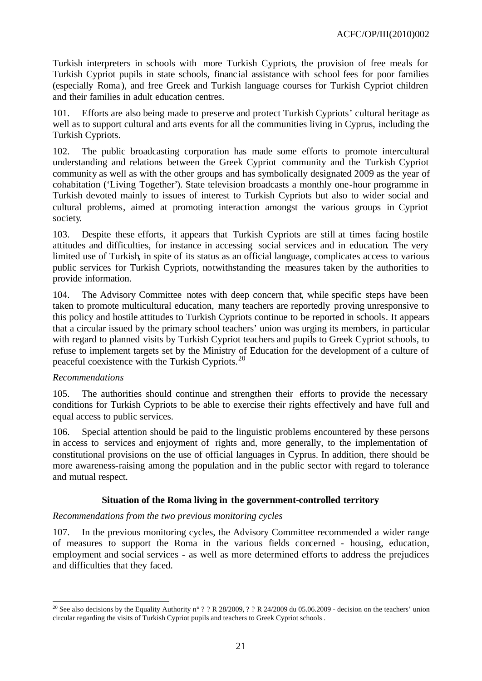Turkish interpreters in schools with more Turkish Cypriots, the provision of free meals for Turkish Cypriot pupils in state schools, financial assistance with school fees for poor families (especially Roma), and free Greek and Turkish language courses for Turkish Cypriot children and their families in adult education centres.

101. Efforts are also being made to preserve and protect Turkish Cypriots' cultural heritage as well as to support cultural and arts events for all the communities living in Cyprus, including the Turkish Cypriots.

102. The public broadcasting corporation has made some efforts to promote intercultural understanding and relations between the Greek Cypriot community and the Turkish Cypriot community as well as with the other groups and has symbolically designated 2009 as the year of cohabitation ('Living Together'). State television broadcasts a monthly one-hour programme in Turkish devoted mainly to issues of interest to Turkish Cypriots but also to wider social and cultural problems, aimed at promoting interaction amongst the various groups in Cypriot society.

103. Despite these efforts, it appears that Turkish Cypriots are still at times facing hostile attitudes and difficulties, for instance in accessing social services and in education. The very limited use of Turkish, in spite of its status as an official language, complicates access to various public services for Turkish Cypriots, notwithstanding the measures taken by the authorities to provide information.

104. The Advisory Committee notes with deep concern that, while specific steps have been taken to promote multicultural education, many teachers are reportedly proving unresponsive to this policy and hostile attitudes to Turkish Cypriots continue to be reported in schools. It appears that a circular issued by the primary school teachers' union was urging its members, in particular with regard to planned visits by Turkish Cypriot teachers and pupils to Greek Cypriot schools, to refuse to implement targets set by the Ministry of Education for the development of a culture of peaceful coexistence with the Turkish Cypriots. 20

# *Recommendations*

l

105. The authorities should continue and strengthen their efforts to provide the necessary conditions for Turkish Cypriots to be able to exercise their rights effectively and have full and equal access to public services.

106. Special attention should be paid to the linguistic problems encountered by these persons in access to services and enjoyment of rights and, more generally, to the implementation of constitutional provisions on the use of official languages in Cyprus. In addition, there should be more awareness-raising among the population and in the public sector with regard to tolerance and mutual respect.

# **Situation of the Roma living in the government-controlled territory**

#### *Recommendations from the two previous monitoring cycles*

107. In the previous monitoring cycles, the Advisory Committee recommended a wider range of measures to support the Roma in the various fields concerned - housing, education, employment and social services - as well as more determined efforts to address the prejudices and difficulties that they faced.

<sup>&</sup>lt;sup>20</sup> See also decisions by the Equality Authority n° ? ? R 28/2009, ? ? R 24/2009 du 05.06.2009 - decision on the teachers' union circular regarding the visits of Turkish Cypriot pupils and teachers to Greek Cypriot schools .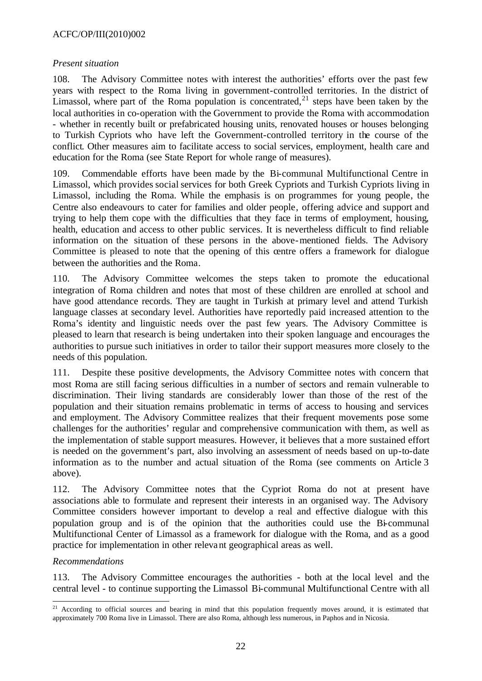# ACFC/OP/III(2010)002

#### *Present situation*

108. The Advisory Committee notes with interest the authorities' efforts over the past few years with respect to the Roma living in government-controlled territories. In the district of Limassol, where part of the Roma population is concentrated,  $2<sup>1</sup>$  steps have been taken by the local authorities in co-operation with the Government to provide the Roma with accommodation - whether in recently built or prefabricated housing units, renovated houses or houses belonging to Turkish Cypriots who have left the Government-controlled territory in the course of the conflict. Other measures aim to facilitate access to social services, employment, health care and education for the Roma (see State Report for whole range of measures).

109. Commendable efforts have been made by the Bi-communal Multifunctional Centre in Limassol, which provides social services for both Greek Cypriots and Turkish Cypriots living in Limassol, including the Roma. While the emphasis is on programmes for young people, the Centre also endeavours to cater for families and older people, offering advice and support and trying to help them cope with the difficulties that they face in terms of employment, housing, health, education and access to other public services. It is nevertheless difficult to find reliable information on the situation of these persons in the above-mentioned fields. The Advisory Committee is pleased to note that the opening of this centre offers a framework for dialogue between the authorities and the Roma.

110. The Advisory Committee welcomes the steps taken to promote the educational integration of Roma children and notes that most of these children are enrolled at school and have good attendance records. They are taught in Turkish at primary level and attend Turkish language classes at secondary level. Authorities have reportedly paid increased attention to the Roma's identity and linguistic needs over the past few years. The Advisory Committee is pleased to learn that research is being undertaken into their spoken language and encourages the authorities to pursue such initiatives in order to tailor their support measures more closely to the needs of this population.

111. Despite these positive developments, the Advisory Committee notes with concern that most Roma are still facing serious difficulties in a number of sectors and remain vulnerable to discrimination. Their living standards are considerably lower than those of the rest of the population and their situation remains problematic in terms of access to housing and services and employment. The Advisory Committee realizes that their frequent movements pose some challenges for the authorities' regular and comprehensive communication with them, as well as the implementation of stable support measures. However, it believes that a more sustained effort is needed on the government's part, also involving an assessment of needs based on up-to-date information as to the number and actual situation of the Roma (see comments on Article 3 above).

112. The Advisory Committee notes that the Cypriot Roma do not at present have associations able to formulate and represent their interests in an organised way. The Advisory Committee considers however important to develop a real and effective dialogue with this population group and is of the opinion that the authorities could use the Bi-communal Multifunctional Center of Limassol as a framework for dialogue with the Roma, and as a good practice for implementation in other relevant geographical areas as well.

#### *Recommendations*

l

113. The Advisory Committee encourages the authorities - both at the local level and the central level - to continue supporting the Limassol Bi-communal Multifunctional Centre with all

<sup>&</sup>lt;sup>21</sup> According to official sources and bearing in mind that this population frequently moves around, it is estimated that approximately 700 Roma live in Limassol. There are also Roma, although less numerous, in Paphos and in Nicosia.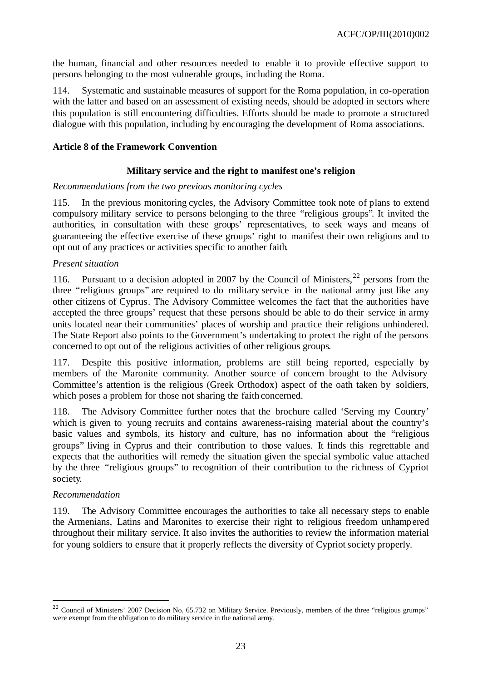the human, financial and other resources needed to enable it to provide effective support to persons belonging to the most vulnerable groups, including the Roma.

114. Systematic and sustainable measures of support for the Roma population, in co-operation with the latter and based on an assessment of existing needs, should be adopted in sectors where this population is still encountering difficulties. Efforts should be made to promote a structured dialogue with this population, including by encouraging the development of Roma associations.

### **Article 8 of the Framework Convention**

### **Military service and the right to manifest one's religion**

#### *Recommendations from the two previous monitoring cycles*

115. In the previous monitoring cycles, the Advisory Committee took note of plans to extend compulsory military service to persons belonging to the three "religious groups". It invited the authorities, in consultation with these groups' representatives, to seek ways and means of guaranteeing the effective exercise of these groups' right to manifest their own religions and to opt out of any practices or activities specific to another faith.

### *Present situation*

116. Pursuant to a decision adopted in 2007 by the Council of Ministers,  $^{22}$  persons from the three "religious groups" are required to do military service in the national army just like any other citizens of Cyprus. The Advisory Committee welcomes the fact that the authorities have accepted the three groups' request that these persons should be able to do their service in army units located near their communities' places of worship and practice their religions unhindered. The State Report also points to the Government's undertaking to protect the right of the persons concerned to opt out of the religious activities of other religious groups.

117. Despite this positive information, problems are still being reported, especially by members of the Maronite community. Another source of concern brought to the Advisory Committee's attention is the religious (Greek Orthodox) aspect of the oath taken by soldiers, which poses a problem for those not sharing the faith concerned.

118. The Advisory Committee further notes that the brochure called 'Serving my Country' which is given to young recruits and contains awareness-raising material about the country's basic values and symbols, its history and culture, has no information about the "religious groups" living in Cyprus and their contribution to those values. It finds this regrettable and expects that the authorities will remedy the situation given the special symbolic value attached by the three "religious groups" to recognition of their contribution to the richness of Cypriot society.

#### *Recommendation*

l

119. The Advisory Committee encourages the authorities to take all necessary steps to enable the Armenians, Latins and Maronites to exercise their right to religious freedom unhampered throughout their military service. It also invites the authorities to review the information material for young soldiers to ensure that it properly reflects the diversity of Cypriot society properly.

<sup>&</sup>lt;sup>22</sup> Council of Ministers' 2007 Decision No. 65.732 on Military Service. Previously, members of the three "religious grumps" were exempt from the obligation to do military service in the national army.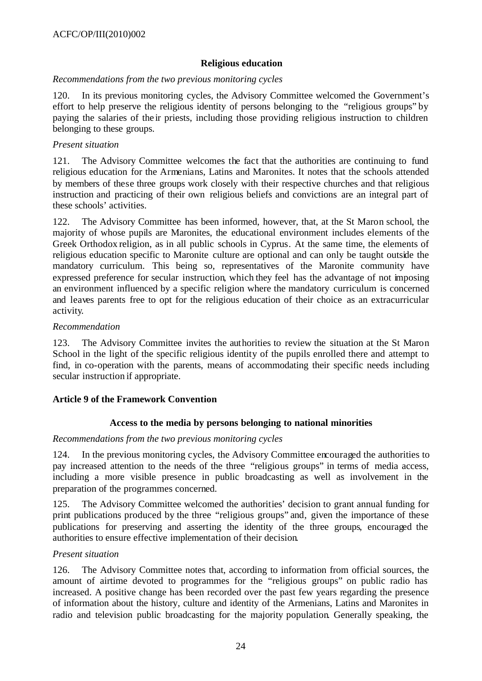### **Religious education**

#### *Recommendations from the two previous monitoring cycles*

120. In its previous monitoring cycles, the Advisory Committee welcomed the Government's effort to help preserve the religious identity of persons belonging to the "religious groups" by paying the salaries of the ir priests, including those providing religious instruction to children belonging to these groups.

### *Present situation*

121. The Advisory Committee welcomes the fact that the authorities are continuing to fund religious education for the Armenians, Latins and Maronites. It notes that the schools attended by members of these three groups work closely with their respective churches and that religious instruction and practicing of their own religious beliefs and convictions are an integral part of these schools' activities.

122. The Advisory Committee has been informed, however, that, at the St Maron school, the majority of whose pupils are Maronites, the educational environment includes elements of the Greek Orthodox religion, as in all public schools in Cyprus. At the same time, the elements of religious education specific to Maronite culture are optional and can only be taught outside the mandatory curriculum. This being so, representatives of the Maronite community have expressed preference for secular instruction, which they feel has the advantage of not imposing an environment influenced by a specific religion where the mandatory curriculum is concerned and leaves parents free to opt for the religious education of their choice as an extracurricular activity.

#### *Recommendation*

123. The Advisory Committee invites the authorities to review the situation at the St Maron School in the light of the specific religious identity of the pupils enrolled there and attempt to find, in co-operation with the parents, means of accommodating their specific needs including secular instruction if appropriate.

# **Article 9 of the Framework Convention**

# **Access to the media by persons belonging to national minorities**

#### *Recommendations from the two previous monitoring cycles*

124. In the previous monitoring cycles, the Advisory Committee encouraged the authorities to pay increased attention to the needs of the three "religious groups" in terms of media access, including a more visible presence in public broadcasting as well as involvement in the preparation of the programmes concerned.

125. The Advisory Committee welcomed the authorities' decision to grant annual funding for print publications produced by the three "religious groups" and, given the importance of these publications for preserving and asserting the identity of the three groups, encouraged the authorities to ensure effective implementation of their decision.

#### *Present situation*

126. The Advisory Committee notes that, according to information from official sources, the amount of airtime devoted to programmes for the "religious groups" on public radio has increased. A positive change has been recorded over the past few years regarding the presence of information about the history, culture and identity of the Armenians, Latins and Maronites in radio and television public broadcasting for the majority population. Generally speaking, the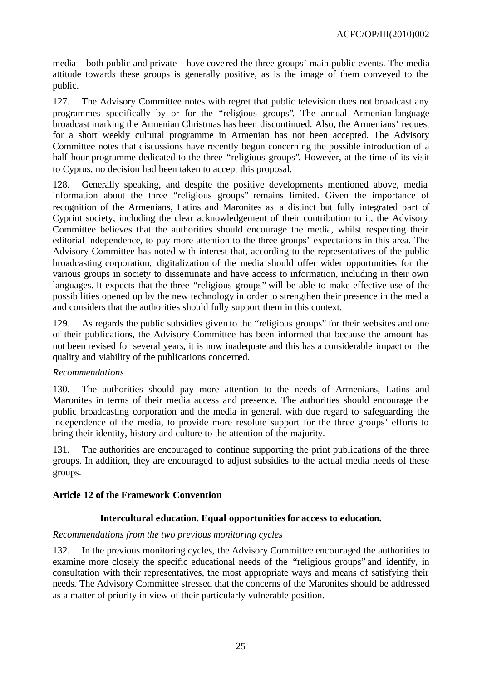media – both public and private – have covered the three groups' main public events. The media attitude towards these groups is generally positive, as is the image of them conveyed to the public.

127. The Advisory Committee notes with regret that public television does not broadcast any programmes specifically by or for the "religious groups". The annual Armenian-language broadcast marking the Armenian Christmas has been discontinued. Also, the Armenians' request for a short weekly cultural programme in Armenian has not been accepted. The Advisory Committee notes that discussions have recently begun concerning the possible introduction of a half-hour programme dedicated to the three "religious groups". However, at the time of its visit to Cyprus, no decision had been taken to accept this proposal.

128. Generally speaking, and despite the positive developments mentioned above, media information about the three "religious groups" remains limited. Given the importance of recognition of the Armenians, Latins and Maronites as a distinct but fully integrated part of Cypriot society, including the clear acknowledgement of their contribution to it, the Advisory Committee believes that the authorities should encourage the media, whilst respecting their editorial independence, to pay more attention to the three groups' expectations in this area. The Advisory Committee has noted with interest that, according to the representatives of the public broadcasting corporation, digitalization of the media should offer wider opportunities for the various groups in society to disseminate and have access to information, including in their own languages. It expects that the three "religious groups" will be able to make effective use of the possibilities opened up by the new technology in order to strengthen their presence in the media and considers that the authorities should fully support them in this context.

129. As regards the public subsidies given to the "religious groups" for their websites and one of their publications, the Advisory Committee has been informed that because the amount has not been revised for several years, it is now inadequate and this has a considerable impact on the quality and viability of the publications concerned.

# *Recommendations*

130. The authorities should pay more attention to the needs of Armenians, Latins and Maronites in terms of their media access and presence. The authorities should encourage the public broadcasting corporation and the media in general, with due regard to safeguarding the independence of the media, to provide more resolute support for the three groups' efforts to bring their identity, history and culture to the attention of the majority.

131. The authorities are encouraged to continue supporting the print publications of the three groups. In addition, they are encouraged to adjust subsidies to the actual media needs of these groups.

# **Article 12 of the Framework Convention**

#### **Intercultural education. Equal opportunities for access to education.**

#### *Recommendations from the two previous monitoring cycles*

132. In the previous monitoring cycles, the Advisory Committee encouraged the authorities to examine more closely the specific educational needs of the "religious groups" and identify, in consultation with their representatives, the most appropriate ways and means of satisfying their needs. The Advisory Committee stressed that the concerns of the Maronites should be addressed as a matter of priority in view of their particularly vulnerable position.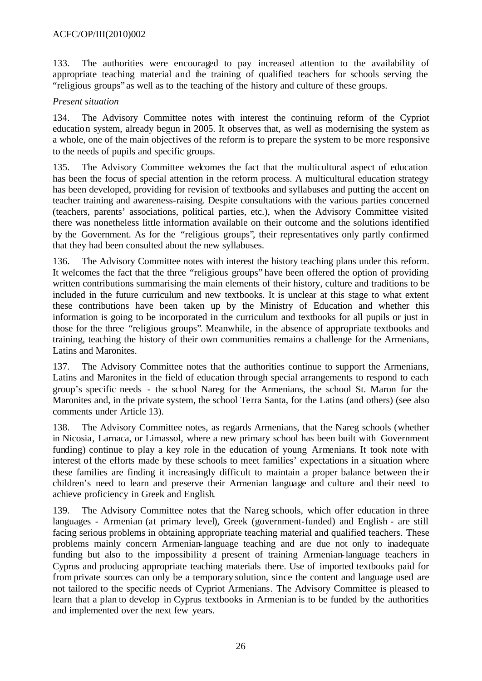133. The authorities were encouraged to pay increased attention to the availability of appropriate teaching material and the training of qualified teachers for schools serving the "religious groups" as well as to the teaching of the history and culture of these groups.

# *Present situation*

134. The Advisory Committee notes with interest the continuing reform of the Cypriot education system, already begun in 2005. It observes that, as well as modernising the system as a whole, one of the main objectives of the reform is to prepare the system to be more responsive to the needs of pupils and specific groups.

135. The Advisory Committee welcomes the fact that the multicultural aspect of education has been the focus of special attention in the reform process. A multicultural education strategy has been developed, providing for revision of textbooks and syllabuses and putting the accent on teacher training and awareness-raising. Despite consultations with the various parties concerned (teachers, parents' associations, political parties, etc.), when the Advisory Committee visited there was nonetheless little information available on their outcome and the solutions identified by the Government. As for the "religious groups", their representatives only partly confirmed that they had been consulted about the new syllabuses.

136. The Advisory Committee notes with interest the history teaching plans under this reform. It welcomes the fact that the three "religious groups" have been offered the option of providing written contributions summarising the main elements of their history, culture and traditions to be included in the future curriculum and new textbooks. It is unclear at this stage to what extent these contributions have been taken up by the Ministry of Education and whether this information is going to be incorporated in the curriculum and textbooks for all pupils or just in those for the three "religious groups". Meanwhile, in the absence of appropriate textbooks and training, teaching the history of their own communities remains a challenge for the Armenians, Latins and Maronites.

137. The Advisory Committee notes that the authorities continue to support the Armenians, Latins and Maronites in the field of education through special arrangements to respond to each group's specific needs - the school Nareg for the Armenians, the school St. Maron for the Maronites and, in the private system, the school Terra Santa, for the Latins (and others) (see also comments under Article 13).

138. The Advisory Committee notes, as regards Armenians, that the Nareg schools (whether in Nicosia, Larnaca, or Limassol, where a new primary school has been built with Government funding) continue to play a key role in the education of young Armenians. It took note with interest of the efforts made by these schools to meet families' expectations in a situation where these families are finding it increasingly difficult to maintain a proper balance between the ir children's need to learn and preserve their Armenian language and culture and their need to achieve proficiency in Greek and English.

139. The Advisory Committee notes that the Nareg schools, which offer education in three languages - Armenian (at primary level), Greek (government-funded) and English - are still facing serious problems in obtaining appropriate teaching material and qualified teachers. These problems mainly concern Armenian-language teaching and are due not only to inadequate funding but also to the impossibility at present of training Armenian-language teachers in Cyprus and producing appropriate teaching materials there. Use of imported textbooks paid for from private sources can only be a temporary solution, since the content and language used are not tailored to the specific needs of Cypriot Armenians. The Advisory Committee is pleased to learn that a plan to develop in Cyprus textbooks in Armenian is to be funded by the authorities and implemented over the next few years.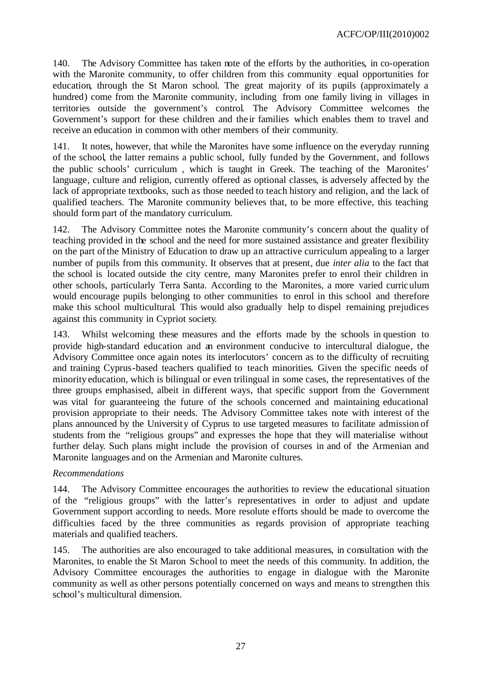140. The Advisory Committee has taken note of the efforts by the authorities, in co-operation with the Maronite community, to offer children from this community equal opportunities for education, through the St Maron school. The great majority of its pupils (approximately a hundred) come from the Maronite community, including from one family living in villages in territories outside the government's control. The Advisory Committee welcomes the Government's support for these children and the ir families which enables them to travel and receive an education in common with other members of their community.

141. It notes, however, that while the Maronites have some influence on the everyday running of the school, the latter remains a public school, fully funded by the Government, and follows the public schools' curriculum , which is taught in Greek. The teaching of the Maronites' language, culture and religion, currently offered as optional classes, is adversely affected by the lack of appropriate textbooks, such as those needed to teach history and religion, and the lack of qualified teachers. The Maronite community believes that, to be more effective, this teaching should form part of the mandatory curriculum.

142. The Advisory Committee notes the Maronite community's concern about the quality of teaching provided in the school and the need for more sustained assistance and greater flexibility on the part of the Ministry of Education to draw up an attractive curriculum appealing to a larger number of pupils from this community. It observes that at present, due *inter alia* to the fact that the school is located outside the city centre, many Maronites prefer to enrol their children in other schools, particularly Terra Santa. According to the Maronites, a more varied curriculum would encourage pupils belonging to other communities to enrol in this school and therefore make this school multicultural. This would also gradually help to dispel remaining prejudices against this community in Cypriot society.

143. Whilst welcoming these measures and the efforts made by the schools in question to provide high-standard education and an environment conducive to intercultural dialogue, the Advisory Committee once again notes its interlocutors' concern as to the difficulty of recruiting and training Cyprus-based teachers qualified to teach minorities. Given the specific needs of minority education, which is bilingual or even trilingual in some cases, the representatives of the three groups emphasised, albeit in different ways, that specific support from the Government was vital for guaranteeing the future of the schools concerned and maintaining educational provision appropriate to their needs. The Advisory Committee takes note with interest of the plans announced by the University of Cyprus to use targeted measures to facilitate admission of students from the "religious groups" and expresses the hope that they will materialise without further delay. Such plans might include the provision of courses in and of the Armenian and Maronite languages and on the Armenian and Maronite cultures.

# *Recommendations*

144. The Advisory Committee encourages the authorities to review the educational situation of the "religious groups" with the latter's representatives in order to adjust and update Government support according to needs. More resolute efforts should be made to overcome the difficulties faced by the three communities as regards provision of appropriate teaching materials and qualified teachers.

145. The authorities are also encouraged to take additional measures, in consultation with the Maronites, to enable the St Maron School to meet the needs of this community. In addition, the Advisory Committee encourages the authorities to engage in dialogue with the Maronite community as well as other persons potentially concerned on ways and means to strengthen this school's multicultural dimension.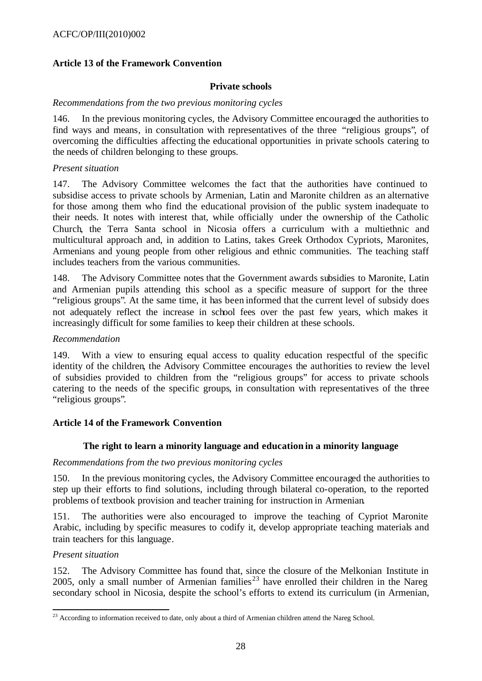### **Article 13 of the Framework Convention**

#### **Private schools**

#### *Recommendations from the two previous monitoring cycles*

146. In the previous monitoring cycles, the Advisory Committee encouraged the authorities to find ways and means, in consultation with representatives of the three "religious groups", of overcoming the difficulties affecting the educational opportunities in private schools catering to the needs of children belonging to these groups.

#### *Present situation*

147. The Advisory Committee welcomes the fact that the authorities have continued to subsidise access to private schools by Armenian, Latin and Maronite children as an alternative for those among them who find the educational provision of the public system inadequate to their needs. It notes with interest that, while officially under the ownership of the Catholic Church, the Terra Santa school in Nicosia offers a curriculum with a multiethnic and multicultural approach and, in addition to Latins, takes Greek Orthodox Cypriots, Maronites, Armenians and young people from other religious and ethnic communities. The teaching staff includes teachers from the various communities.

148. The Advisory Committee notes that the Government awards subsidies to Maronite, Latin and Armenian pupils attending this school as a specific measure of support for the three "religious groups". At the same time, it has been informed that the current level of subsidy does not adequately reflect the increase in school fees over the past few years, which makes it increasingly difficult for some families to keep their children at these schools.

#### *Recommendation*

149. With a view to ensuring equal access to quality education respectful of the specific identity of the children, the Advisory Committee encourages the authorities to review the level of subsidies provided to children from the "religious groups" for access to private schools catering to the needs of the specific groups, in consultation with representatives of the three "religious groups".

#### **Article 14 of the Framework Convention**

#### **The right to learn a minority language and education in a minority language**

#### *Recommendations from the two previous monitoring cycles*

150. In the previous monitoring cycles, the Advisory Committee encouraged the authorities to step up their efforts to find solutions, including through bilateral co-operation, to the reported problems of textbook provision and teacher training for instruction in Armenian.

151. The authorities were also encouraged to improve the teaching of Cypriot Maronite Arabic, including by specific measures to codify it, develop appropriate teaching materials and train teachers for this language.

### *Present situation*

152. The Advisory Committee has found that, since the closure of the Melkonian Institute in 2005, only a small number of Armenian families<sup>23</sup> have enrolled their children in the Nareg secondary school in Nicosia, despite the school's efforts to extend its curriculum (in Armenian,

l  $^{23}$  According to information received to date, only about a third of Armenian children attend the Nareg School.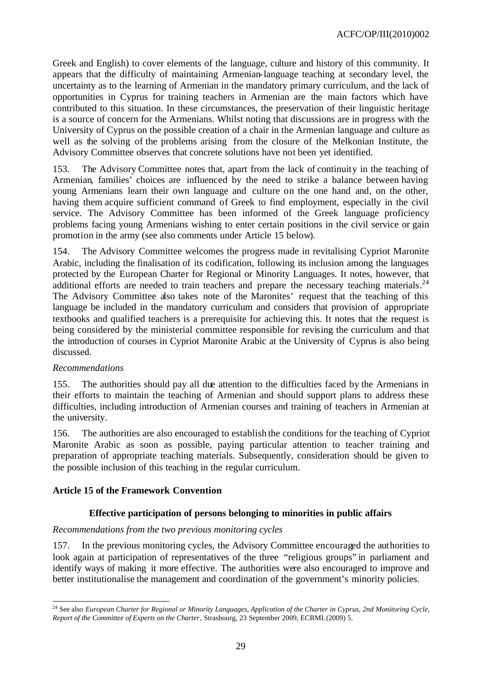Greek and English) to cover elements of the language, culture and history of this community. It appears that the difficulty of maintaining Armenian-language teaching at secondary level, the uncertainty as to the learning of Armenian in the mandatory primary curriculum, and the lack of opportunities in Cyprus for training teachers in Armenian are the main factors which have contributed to this situation. In these circumstances, the preservation of their linguistic heritage is a source of concern for the Armenians. Whilst noting that discussions are in progress with the University of Cyprus on the possible creation of a chair in the Armenian language and culture as well as the solving of the problems arising from the closure of the Melkonian Institute, the Advisory Committee observes that concrete solutions have not been yet identified.

153. The Advisory Committee notes that, apart from the lack of continuity in the teaching of Armenian, families' choices are influenced by the need to strike a balance between having young Armenians learn their own language and culture on the one hand and, on the other, having them acquire sufficient command of Greek to find employment, especially in the civil service. The Advisory Committee has been informed of the Greek language proficiency problems facing young Armenians wishing to enter certain positions in the civil service or gain promotion in the army (see also comments under Article 15 below).

154. The Advisory Committee welcomes the progress made in revitalising Cypriot Maronite Arabic, including the finalisation of its codification, following its inclusion among the languages protected by the European Charter for Regional or Minority Languages. It notes, however, that additional efforts are needed to train teachers and prepare the necessary teaching materials.<sup>24</sup> The Advisory Committee also takes note of the Maronites' request that the teaching of this language be included in the mandatory curriculum and considers that provision of appropriate textbooks and qualified teachers is a prerequisite for achieving this. It notes that the request is being considered by the ministerial committee responsible for revising the curriculum and that the introduction of courses in Cypriot Maronite Arabic at the University of Cyprus is also being discussed.

# *Recommendations*

155. The authorities should pay all due attention to the difficulties faced by the Armenians in their efforts to maintain the teaching of Armenian and should support plans to address these difficulties, including introduction of Armenian courses and training of teachers in Armenian at the university.

156. The authorities are also encouraged to establish the conditions for the teaching of Cypriot Maronite Arabic as soon as possible, paying particular attention to teacher training and preparation of appropriate teaching materials. Subsequently, consideration should be given to the possible inclusion of this teaching in the regular curriculum.

# **Article 15 of the Framework Convention**

# **Effective participation of persons belonging to minorities in public affairs**

#### *Recommendations from the two previous monitoring cycles*

157. In the previous monitoring cycles, the Advisory Committee encouraged the authorities to look again at participation of representatives of the three "religious groups" in parliament and identify ways of making it more effective. The authorities were also encouraged to improve and better institutionalise the management and coordination of the government's minority policies.

l <sup>24</sup> See also *European Charter for Regional or Minority Languages, Application of the Charter in Cyprus, 2nd Monitoring Cycle, Report of the Committee of Experts on the Charter*, Strasbourg, 23 September 2009, ECRML(2009) 5.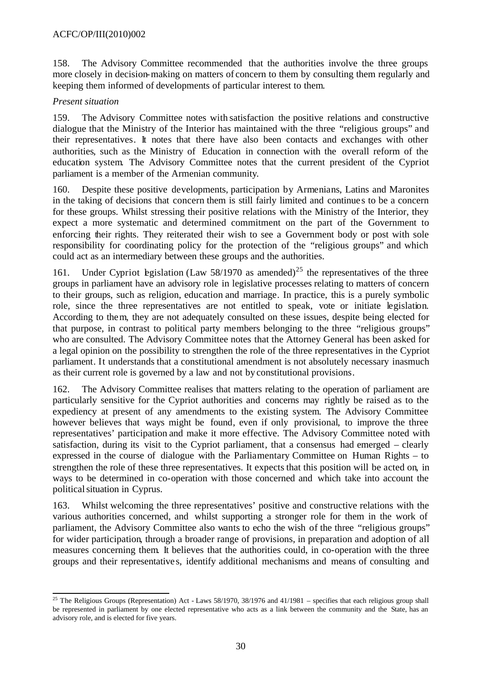158. The Advisory Committee recommended that the authorities involve the three groups more closely in decision-making on matters of concern to them by consulting them regularly and keeping them informed of developments of particular interest to them.

# *Present situation*

159. The Advisory Committee notes with satisfaction the positive relations and constructive dialogue that the Ministry of the Interior has maintained with the three "religious groups" and their representatives. It notes that there have also been contacts and exchanges with other authorities, such as the Ministry of Education in connection with the overall reform of the education system. The Advisory Committee notes that the current president of the Cypriot parliament is a member of the Armenian community.

160. Despite these positive developments, participation by Armenians, Latins and Maronites in the taking of decisions that concern them is still fairly limited and continue s to be a concern for these groups. Whilst stressing their positive relations with the Ministry of the Interior, they expect a more systematic and determined commitment on the part of the Government to enforcing their rights. They reiterated their wish to see a Government body or post with sole responsibility for coordinating policy for the protection of the "religious groups" and which could act as an intermediary between these groups and the authorities.

161. Under Cypriot legislation (Law 58/1970 as amended)<sup>25</sup> the representatives of the three groups in parliament have an advisory role in legislative processes relating to matters of concern to their groups, such as religion, education and marriage. In practice, this is a purely symbolic role, since the three representatives are not entitled to speak, vote or initiate legislation. According to them, they are not adequately consulted on these issues, despite being elected for that purpose, in contrast to political party members belonging to the three "religious groups" who are consulted. The Advisory Committee notes that the Attorney General has been asked for a legal opinion on the possibility to strengthen the role of the three representatives in the Cypriot parliament. It understands that a constitutional amendment is not absolutely necessary inasmuch as their current role is governed by a law and not by constitutional provisions.

162. The Advisory Committee realises that matters relating to the operation of parliament are particularly sensitive for the Cypriot authorities and concerns may rightly be raised as to the expediency at present of any amendments to the existing system. The Advisory Committee however believes that ways might be found, even if only provisional, to improve the three representatives' participation and make it more effective. The Advisory Committee noted with satisfaction, during its visit to the Cypriot parliament, that a consensus had emerged – clearly expressed in the course of dialogue with the Parliamentary Committee on Human Rights – to strengthen the role of these three representatives. It expects that this position will be acted on, in ways to be determined in co-operation with those concerned and which take into account the political situation in Cyprus.

163. Whilst welcoming the three representatives' positive and constructive relations with the various authorities concerned, and whilst supporting a stronger role for them in the work of parliament, the Advisory Committee also wants to echo the wish of the three "religious groups" for wider participation, through a broader range of provisions, in preparation and adoption of all measures concerning them. It believes that the authorities could, in co-operation with the three groups and their representative s, identify additional mechanisms and means of consulting and

l <sup>25</sup> The Religious Groups (Representation) Act - Laws  $58/1970$ ,  $38/1976$  and  $41/1981$  – specifies that each religious group shall be represented in parliament by one elected representative who acts as a link between the community and the State, has an advisory role, and is elected for five years.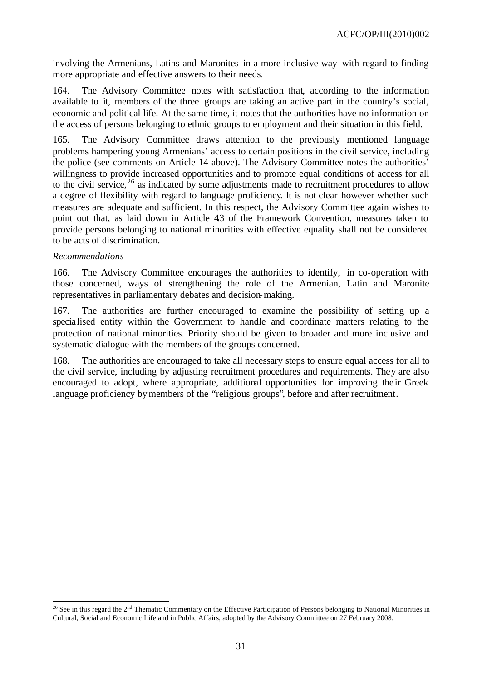involving the Armenians, Latins and Maronites in a more inclusive way with regard to finding more appropriate and effective answers to their needs.

164. The Advisory Committee notes with satisfaction that, according to the information available to it, members of the three groups are taking an active part in the country's social, economic and political life. At the same time, it notes that the authorities have no information on the access of persons belonging to ethnic groups to employment and their situation in this field.

165. The Advisory Committee draws attention to the previously mentioned language problems hampering young Armenians' access to certain positions in the civil service, including the police (see comments on Article 14 above). The Advisory Committee notes the authorities' willingness to provide increased opportunities and to promote equal conditions of access for all to the civil service,<sup>26</sup> as indicated by some adjustments made to recruitment procedures to allow a degree of flexibility with regard to language proficiency. It is not clear however whether such measures are adequate and sufficient. In this respect, the Advisory Committee again wishes to point out that, as laid down in Article 43 of the Framework Convention, measures taken to provide persons belonging to national minorities with effective equality shall not be considered to be acts of discrimination.

#### *Recommendations*

166. The Advisory Committee encourages the authorities to identify, in co-operation with those concerned, ways of strengthening the role of the Armenian, Latin and Maronite representatives in parliamentary debates and decision-making.

167. The authorities are further encouraged to examine the possibility of setting up a specialised entity within the Government to handle and coordinate matters relating to the protection of national minorities. Priority should be given to broader and more inclusive and systematic dialogue with the members of the groups concerned.

168. The authorities are encouraged to take all necessary steps to ensure equal access for all to the civil service, including by adjusting recruitment procedures and requirements. They are also encouraged to adopt, where appropriate, additional opportunities for improving their Greek language proficiency by members of the "religious groups", before and after recruitment.

l <sup>26</sup> See in this regard the  $2<sup>nd</sup>$  Thematic Commentary on the Effective Participation of Persons belonging to National Minorities in Cultural, Social and Economic Life and in Public Affairs, adopted by the Advisory Committee on 27 February 2008.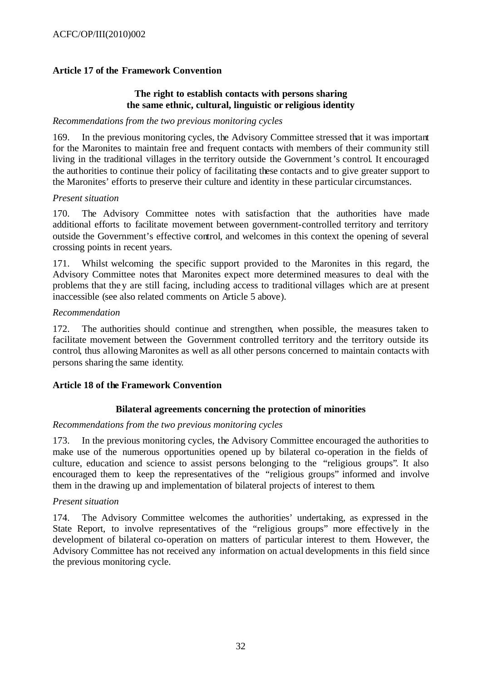# **Article 17 of the Framework Convention**

### **The right to establish contacts with persons sharing the same ethnic, cultural, linguistic or religious identity**

#### *Recommendations from the two previous monitoring cycles*

169. In the previous monitoring cycles, the Advisory Committee stressed that it was important for the Maronites to maintain free and frequent contacts with members of their community still living in the traditional villages in the territory outside the Government's control. It encouraged the authorities to continue their policy of facilitating these contacts and to give greater support to the Maronites' efforts to preserve their culture and identity in these particular circumstances.

#### *Present situation*

170. The Advisory Committee notes with satisfaction that the authorities have made additional efforts to facilitate movement between government-controlled territory and territory outside the Government's effective control, and welcomes in this context the opening of several crossing points in recent years.

171. Whilst welcoming the specific support provided to the Maronites in this regard, the Advisory Committee notes that Maronites expect more determined measures to deal with the problems that they are still facing, including access to traditional villages which are at present inaccessible (see also related comments on Article 5 above).

#### *Recommendation*

172. The authorities should continue and strengthen, when possible, the measures taken to facilitate movement between the Government controlled territory and the territory outside its control, thus allowing Maronites as well as all other persons concerned to maintain contacts with persons sharing the same identity.

#### **Article 18 of the Framework Convention**

#### **Bilateral agreements concerning the protection of minorities**

#### *Recommendations from the two previous monitoring cycles*

173. In the previous monitoring cycles, the Advisory Committee encouraged the authorities to make use of the numerous opportunities opened up by bilateral co-operation in the fields of culture, education and science to assist persons belonging to the "religious groups". It also encouraged them to keep the representatives of the "religious groups" informed and involve them in the drawing up and implementation of bilateral projects of interest to them.

#### *Present situation*

174. The Advisory Committee welcomes the authorities' undertaking, as expressed in the State Report, to involve representatives of the "religious groups" more effectively in the development of bilateral co-operation on matters of particular interest to them. However, the Advisory Committee has not received any information on actual developments in this field since the previous monitoring cycle.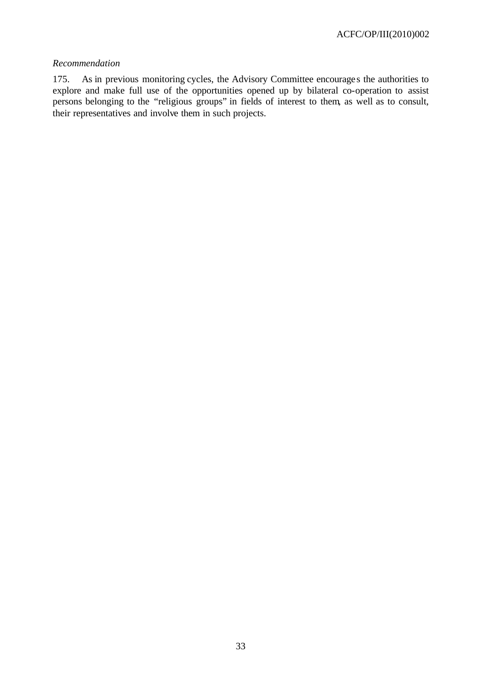### *Recommendation*

175. As in previous monitoring cycles, the Advisory Committee encourage s the authorities to explore and make full use of the opportunities opened up by bilateral co-operation to assist persons belonging to the "religious groups" in fields of interest to them, as well as to consult, their representatives and involve them in such projects.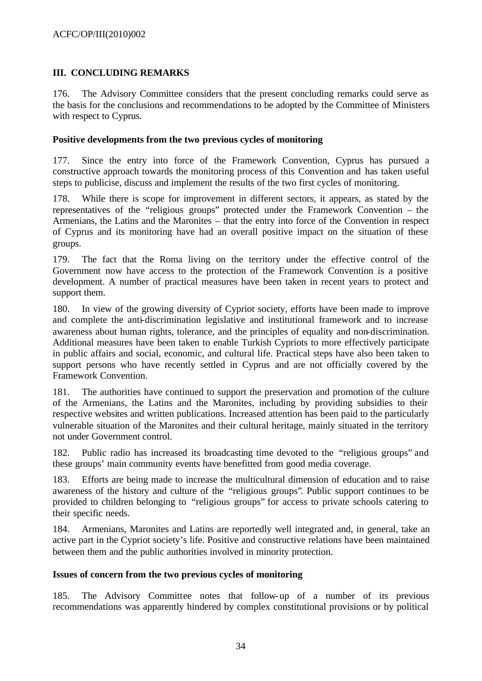# **III. CONCLUDING REMARKS**

176. The Advisory Committee considers that the present concluding remarks could serve as the basis for the conclusions and recommendations to be adopted by the Committee of Ministers with respect to Cyprus.

### **Positive developments from the two previous cycles of monitoring**

177. Since the entry into force of the Framework Convention, Cyprus has pursued a constructive approach towards the monitoring process of this Convention and has taken useful steps to publicise, discuss and implement the results of the two first cycles of monitoring.

178. While there is scope for improvement in different sectors, it appears, as stated by the representatives of the "religious groups" protected under the Framework Convention – the Armenians, the Latins and the Maronites – that the entry into force of the Convention in respect of Cyprus and its monitoring have had an overall positive impact on the situation of these groups.

179. The fact that the Roma living on the territory under the effective control of the Government now have access to the protection of the Framework Convention is a positive development. A number of practical measures have been taken in recent years to protect and support them.

180. In view of the growing diversity of Cypriot society, efforts have been made to improve and complete the anti-discrimination legislative and institutional framework and to increase awareness about human rights, tolerance, and the principles of equality and non-discrimination. Additional measures have been taken to enable Turkish Cypriots to more effectively participate in public affairs and social, economic, and cultural life. Practical steps have also been taken to support persons who have recently settled in Cyprus and are not officially covered by the Framework Convention.

181. The authorities have continued to support the preservation and promotion of the culture of the Armenians, the Latins and the Maronites, including by providing subsidies to their respective websites and written publications. Increased attention has been paid to the particularly vulnerable situation of the Maronites and their cultural heritage, mainly situated in the territory not under Government control.

182. Public radio has increased its broadcasting time devoted to the "religious groups" and these groups' main community events have benefitted from good media coverage.

183. Efforts are being made to increase the multicultural dimension of education and to raise awareness of the history and culture of the "religious groups". Public support continues to be provided to children belonging to "religious groups" for access to private schools catering to their specific needs.

184. Armenians, Maronites and Latins are reportedly well integrated and, in general, take an active part in the Cypriot society's life. Positive and constructive relations have been maintained between them and the public authorities involved in minority protection.

# **Issues of concern from the two previous cycles of monitoring**

185. The Advisory Committee notes that follow-up of a number of its previous recommendations was apparently hindered by complex constitutional provisions or by political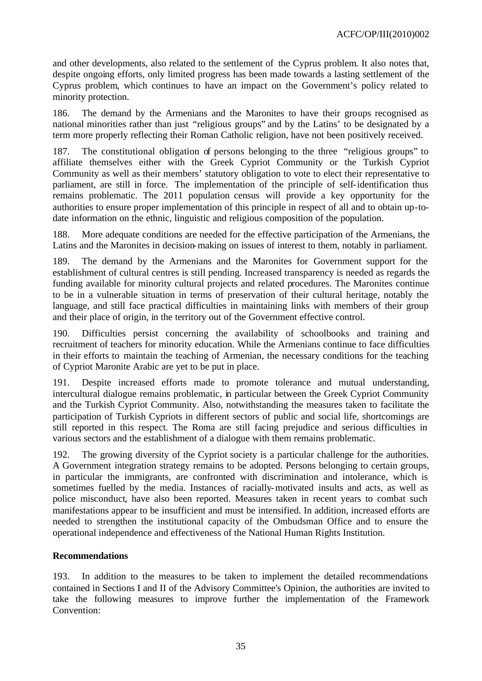and other developments, also related to the settlement of the Cyprus problem. It also notes that, despite ongoing efforts, only limited progress has been made towards a lasting settlement of the Cyprus problem, which continues to have an impact on the Government's policy related to minority protection.

186. The demand by the Armenians and the Maronites to have their groups recognised as national minorities rather than just "religious groups" and by the Latins' to be designated by a term more properly reflecting their Roman Catholic religion, have not been positively received.

187. The constitutional obligation of persons belonging to the three "religious groups" to affiliate themselves either with the Greek Cypriot Community or the Turkish Cypriot Community as well as their members' statutory obligation to vote to elect their representative to parliament, are still in force. The implementation of the principle of self-identification thus remains problematic. The 2011 population census will provide a key opportunity for the authorities to ensure proper implementation of this principle in respect of all and to obtain up-todate information on the ethnic, linguistic and religious composition of the population.

188. More adequate conditions are needed for the effective participation of the Armenians, the Latins and the Maronites in decision-making on issues of interest to them, notably in parliament.

189. The demand by the Armenians and the Maronites for Government support for the establishment of cultural centres is still pending. Increased transparency is needed as regards the funding available for minority cultural projects and related procedures. The Maronites continue to be in a vulnerable situation in terms of preservation of their cultural heritage, notably the language, and still face practical difficulties in maintaining links with members of their group and their place of origin, in the territory out of the Government effective control.

190. Difficulties persist concerning the availability of schoolbooks and training and recruitment of teachers for minority education. While the Armenians continue to face difficulties in their efforts to maintain the teaching of Armenian, the necessary conditions for the teaching of Cypriot Maronite Arabic are yet to be put in place.

191. Despite increased efforts made to promote tolerance and mutual understanding, intercultural dialogue remains problematic, in particular between the Greek Cypriot Community and the Turkish Cypriot Community. Also, notwithstanding the measures taken to facilitate the participation of Turkish Cypriots in different sectors of public and social life, shortcomings are still reported in this respect. The Roma are still facing prejudice and serious difficulties in various sectors and the establishment of a dialogue with them remains problematic.

192. The growing diversity of the Cypriot society is a particular challenge for the authorities. A Government integration strategy remains to be adopted. Persons belonging to certain groups, in particular the immigrants, are confronted with discrimination and intolerance, which is sometimes fuelled by the media. Instances of racially-motivated insults and acts, as well as police misconduct, have also been reported. Measures taken in recent years to combat such manifestations appear to be insufficient and must be intensified. In addition, increased efforts are needed to strengthen the institutional capacity of the Ombudsman Office and to ensure the operational independence and effectiveness of the National Human Rights Institution.

# **Recommendations**

193. In addition to the measures to be taken to implement the detailed recommendations contained in Sections I and II of the Advisory Committee's Opinion, the authorities are invited to take the following measures to improve further the implementation of the Framework Convention: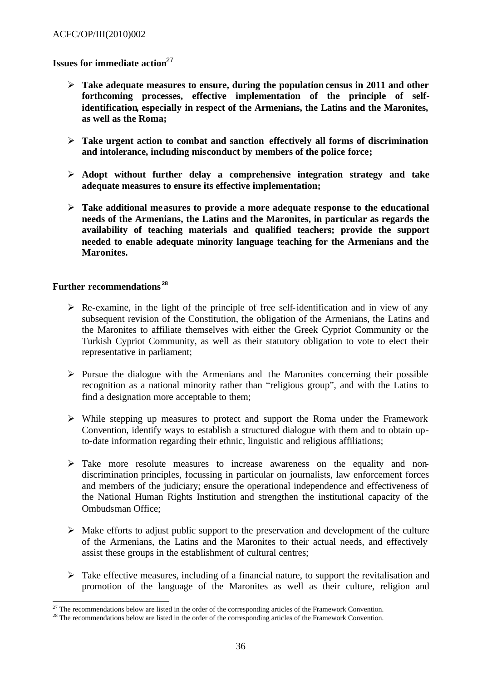### **Issues for immediate action**<sup>27</sup>

- ÿ **Take adequate measures to ensure, during the population census in 2011 and other forthcoming processes, effective implementation of the principle of selfidentification, especially in respect of the Armenians, the Latins and the Maronites, as well as the Roma;**
- ÿ **Take urgent action to combat and sanction effectively all forms of discrimination and intolerance, including misconduct by members of the police force;**
- ÿ **Adopt without further delay a comprehensive integration strategy and take adequate measures to ensure its effective implementation;**
- ÿ **Take additional measures to provide a more adequate response to the educational needs of the Armenians, the Latins and the Maronites, in particular as regards the availability of teaching materials and qualified teachers; provide the support needed to enable adequate minority language teaching for the Armenians and the Maronites.**

#### **Further recommendations <sup>28</sup>**

- $\triangleright$  Re-examine, in the light of the principle of free self-identification and in view of any subsequent revision of the Constitution, the obligation of the Armenians, the Latins and the Maronites to affiliate themselves with either the Greek Cypriot Community or the Turkish Cypriot Community, as well as their statutory obligation to vote to elect their representative in parliament;
- $\triangleright$  Pursue the dialogue with the Armenians and the Maronites concerning their possible recognition as a national minority rather than "religious group", and with the Latins to find a designation more acceptable to them;
- $\triangleright$  While stepping up measures to protect and support the Roma under the Framework Convention, identify ways to establish a structured dialogue with them and to obtain upto-date information regarding their ethnic, linguistic and religious affiliations;
- $\triangleright$  Take more resolute measures to increase awareness on the equality and nondiscrimination principles, focussing in particular on journalists, law enforcement forces and members of the judiciary; ensure the operational independence and effectiveness of the National Human Rights Institution and strengthen the institutional capacity of the Ombudsman Office;
- $\triangleright$  Make efforts to adjust public support to the preservation and development of the culture of the Armenians, the Latins and the Maronites to their actual needs, and effectively assist these groups in the establishment of cultural centres;
- $\triangleright$  Take effective measures, including of a financial nature, to support the revitalisation and promotion of the language of the Maronites as well as their culture, religion and

l  $^{27}$  The recommendations below are listed in the order of the corresponding articles of the Framework Convention.

<sup>&</sup>lt;sup>28</sup> The recommendations below are listed in the order of the corresponding articles of the Framework Convention.